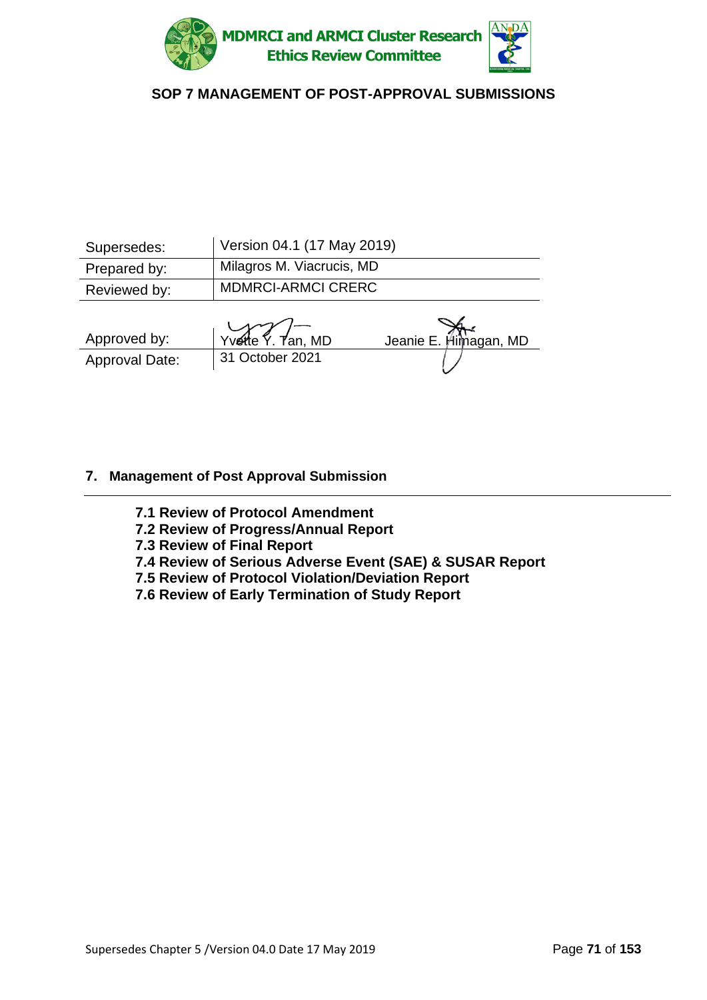

| Supersedes:  | Version 04.1 (17 May 2019)       |
|--------------|----------------------------------|
| Prepared by: | <b>Milagros M. Viacrucis, MD</b> |
| Reviewed by: | <b>MDMRCI-ARMCI CRERC</b>        |
|              |                                  |

| Approved by:   | Yvette $\frac{1}{2}$ . Tan, MD | Jeanie E. Himagan, MD |
|----------------|--------------------------------|-----------------------|
| Approval Date: | 31 October 2021                |                       |

### **7. Management of Post Approval Submission**

**7.1 Review of Protocol Amendment**

- **7.2 Review of Progress/Annual Report**
- **7.3 Review of Final Report**
- **7.4 Review of Serious Adverse Event (SAE) & SUSAR Report**
- **7.5 Review of Protocol Violation/Deviation Report**
- **7.6 Review of Early Termination of Study Report**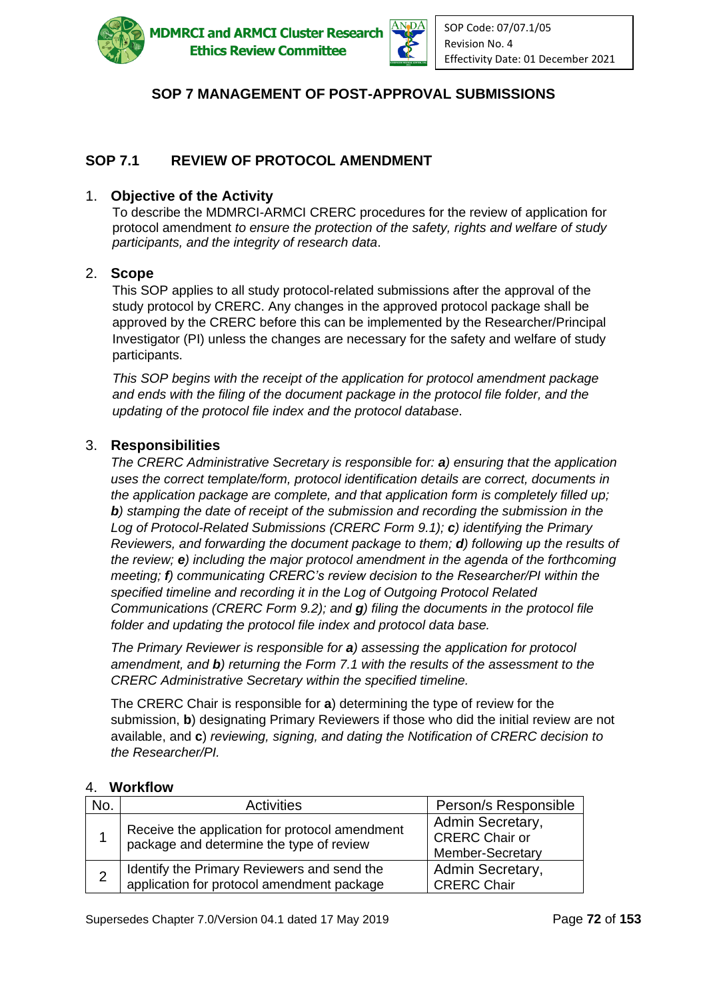

**MDMRCI and ARMCI Cluster Research Ethics Review Committee** 



# **SOP 7 MANAGEMENT OF POST-APPROVAL SUBMISSIONS**

### **SOP 7.1 REVIEW OF PROTOCOL AMENDMENT**

#### 1. **Objective of the Activity**

To describe the MDMRCI-ARMCI CRERC procedures for the review of application for protocol amendment *to ensure the protection of the safety, rights and welfare of study participants, and the integrity of research data*.

#### 2. **Scope**

This SOP applies to all study protocol-related submissions after the approval of the study protocol by CRERC. Any changes in the approved protocol package shall be approved by the CRERC before this can be implemented by the Researcher/Principal Investigator (PI) unless the changes are necessary for the safety and welfare of study participants.

*This SOP begins with the receipt of the application for protocol amendment package and ends with the filing of the document package in the protocol file folder, and the updating of the protocol file index and the protocol database*.

#### 3. **Responsibilities**

*The CRERC Administrative Secretary is responsible for: a) ensuring that the application uses the correct template/form, protocol identification details are correct, documents in the application package are complete, and that application form is completely filled up; b) stamping the date of receipt of the submission and recording the submission in the Log of Protocol-Related Submissions (CRERC Form 9.1); c) identifying the Primary Reviewers, and forwarding the document package to them; d) following up the results of the review; e) including the major protocol amendment in the agenda of the forthcoming meeting; f) communicating CRERC's review decision to the Researcher/PI within the specified timeline and recording it in the Log of Outgoing Protocol Related Communications (CRERC Form 9.2); and g) filing the documents in the protocol file folder and updating the protocol file index and protocol data base.* 

*The Primary Reviewer is responsible for a) assessing the application for protocol amendment, and b) returning the Form 7.1 with the results of the assessment to the CRERC Administrative Secretary within the specified timeline.*

The CRERC Chair is responsible for **a**) determining the type of review for the submission, **b**) designating Primary Reviewers if those who did the initial review are not available, and **c**) *reviewing, signing, and dating the Notification of CRERC decision to the Researcher/PI.*

#### 4. **Workflow**

| No. | <b>Activities</b>                                                                          | Person/s Responsible                                          |
|-----|--------------------------------------------------------------------------------------------|---------------------------------------------------------------|
|     | Receive the application for protocol amendment<br>package and determine the type of review | Admin Secretary,<br><b>CRERC Chair or</b><br>Member-Secretary |
|     | Identify the Primary Reviewers and send the<br>application for protocol amendment package  | Admin Secretary,<br><b>CRERC Chair</b>                        |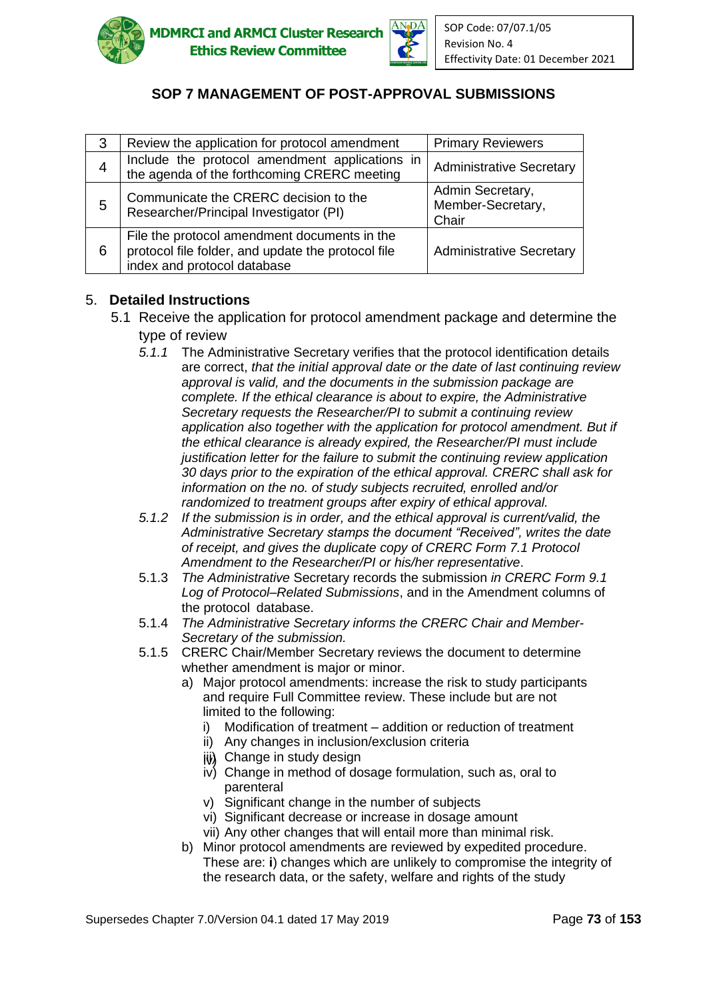



| 3 | Review the application for protocol amendment                                                                                     | <b>Primary Reviewers</b>                       |
|---|-----------------------------------------------------------------------------------------------------------------------------------|------------------------------------------------|
| 4 | Include the protocol amendment applications in<br>the agenda of the forthcoming CRERC meeting                                     | <b>Administrative Secretary</b>                |
| 5 | Communicate the CRERC decision to the<br>Researcher/Principal Investigator (PI)                                                   | Admin Secretary,<br>Member-Secretary,<br>Chair |
| 6 | File the protocol amendment documents in the<br>protocol file folder, and update the protocol file<br>index and protocol database | <b>Administrative Secretary</b>                |

### 5. **Detailed Instructions**

- 5.1 Receive the application for protocol amendment package and determine the type of review
	- *5.1.1* The Administrative Secretary verifies that the protocol identification details are correct, *that the initial approval date or the date of last continuing review approval is valid, and the documents in the submission package are complete. If the ethical clearance is about to expire, the Administrative Secretary requests the Researcher/PI to submit a continuing review application also together with the application for protocol amendment. But if the ethical clearance is already expired, the Researcher/PI must include justification letter for the failure to submit the continuing review application 30 days prior to the expiration of the ethical approval. CRERC shall ask for information on the no. of study subjects recruited, enrolled and/or randomized to treatment groups after expiry of ethical approval.*
	- *5.1.2 If the submission is in order, and the ethical approval is current/valid, the Administrative Secretary stamps the document "Received", writes the date of receipt, and gives the duplicate copy of CRERC Form 7.1 Protocol Amendment to the Researcher/PI or his/her representative*.
	- 5.1.3 *The Administrative* Secretary records the submission *in CRERC Form 9.1 Log of Protocol–Related Submissions*, and in the Amendment columns of the protocol database.
	- 5.1.4 *The Administrative Secretary informs the CRERC Chair and Member-Secretary of the submission.*
	- 5.1.5 CRERC Chair/Member Secretary reviews the document to determine whether amendment is major or minor.
		- a) Major protocol amendments: increase the risk to study participants and require Full Committee review. These include but are not limited to the following:
			- i) Modification of treatment addition or reduction of treatment
			- ii) Any changes in inclusion/exclusion criteria
			- iii) Change in study design
			- iv) Change in method of dosage formulation, such as, oral to parenteral
			- v) Significant change in the number of subjects
			- vi) Significant decrease or increase in dosage amount
			- vii) Any other changes that will entail more than minimal risk.
		- b) Minor protocol amendments are reviewed by expedited procedure. These are: **i**) changes which are unlikely to compromise the integrity of the research data, or the safety, welfare and rights of the study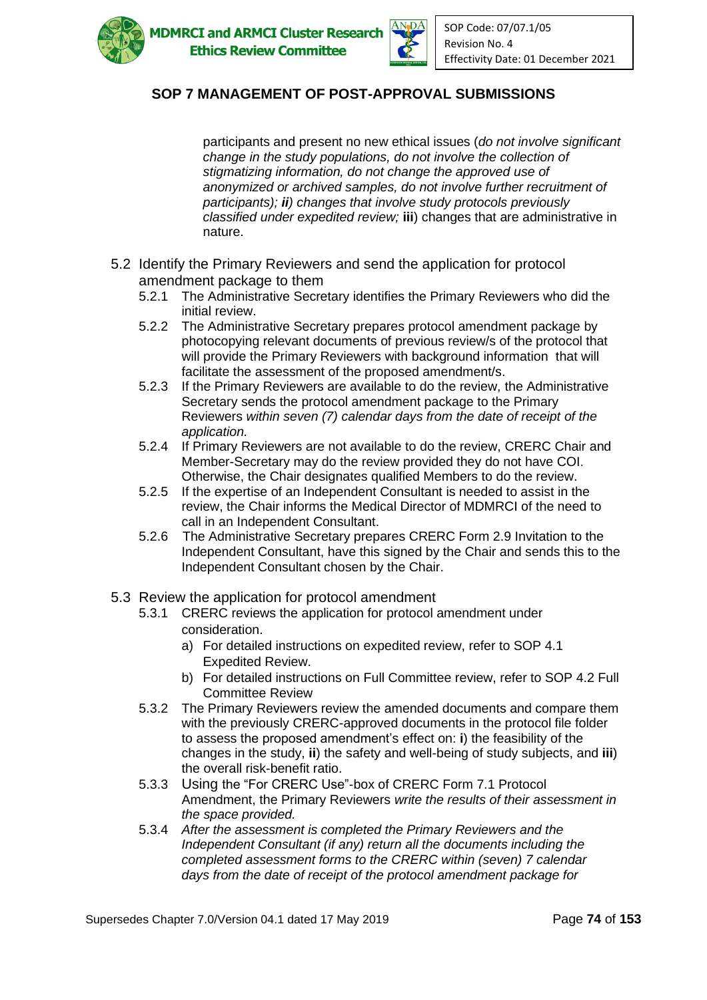



participants and present no new ethical issues (*do not involve significant change in the study populations, do not involve the collection of stigmatizing information, do not change the approved use of anonymized or archived samples, do not involve further recruitment of participants); ii) changes that involve study protocols previously classified under expedited review;* **iii**) changes that are administrative in nature.

- 5.2 Identify the Primary Reviewers and send the application for protocol amendment package to them
	- 5.2.1 The Administrative Secretary identifies the Primary Reviewers who did the initial review.
	- 5.2.2 The Administrative Secretary prepares protocol amendment package by photocopying relevant documents of previous review/s of the protocol that will provide the Primary Reviewers with background information that will facilitate the assessment of the proposed amendment/s.
	- 5.2.3 If the Primary Reviewers are available to do the review, the Administrative Secretary sends the protocol amendment package to the Primary Reviewers *within seven (7) calendar days from the date of receipt of the application.*
	- 5.2.4 If Primary Reviewers are not available to do the review, CRERC Chair and Member-Secretary may do the review provided they do not have COI. Otherwise, the Chair designates qualified Members to do the review.
	- 5.2.5 If the expertise of an Independent Consultant is needed to assist in the review, the Chair informs the Medical Director of MDMRCI of the need to call in an Independent Consultant.
	- 5.2.6 The Administrative Secretary prepares CRERC Form 2.9 Invitation to the Independent Consultant, have this signed by the Chair and sends this to the Independent Consultant chosen by the Chair.
- 5.3 Review the application for protocol amendment
	- 5.3.1 CRERC reviews the application for protocol amendment under consideration.
		- a) For detailed instructions on expedited review, refer to SOP 4.1 Expedited Review.
		- b) For detailed instructions on Full Committee review, refer to SOP 4.2 Full Committee Review
	- 5.3.2 The Primary Reviewers review the amended documents and compare them with the previously CRERC-approved documents in the protocol file folder to assess the proposed amendment's effect on: **i**) the feasibility of the changes in the study, **ii**) the safety and well-being of study subjects, and **iii**) the overall risk-benefit ratio.
	- 5.3.3 Using the "For CRERC Use"-box of CRERC Form 7.1 Protocol Amendment, the Primary Reviewers *write the results of their assessment in the space provided.*
	- 5.3.4 *After the assessment is completed the Primary Reviewers and the Independent Consultant (if any) return all the documents including the completed assessment forms to the CRERC within (seven) 7 calendar days from the date of receipt of the protocol amendment package for*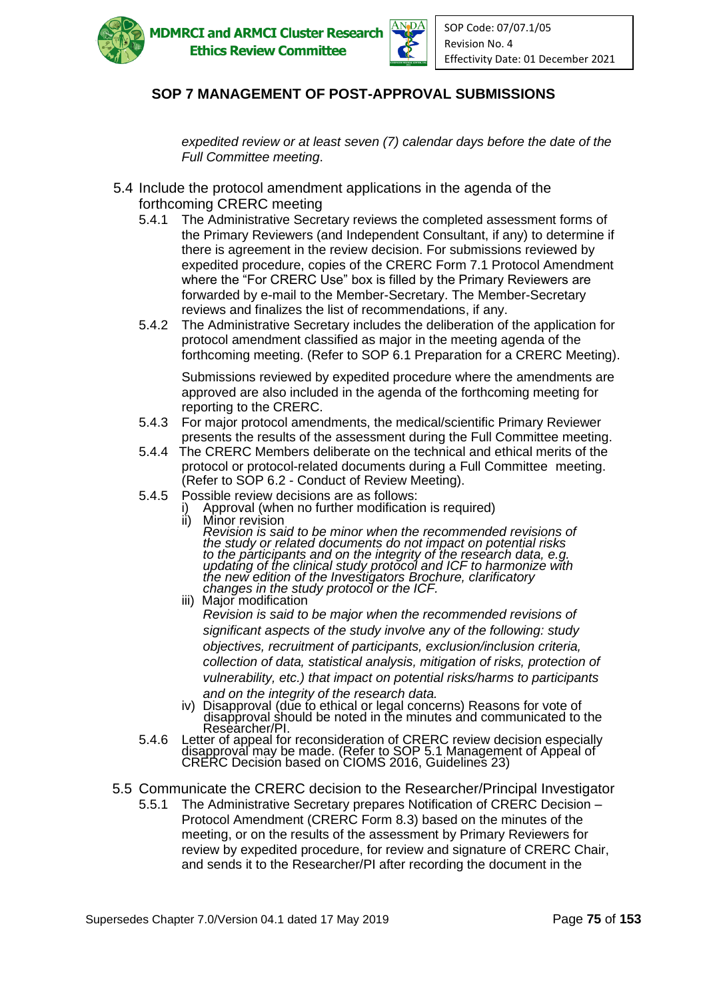



*expedited review or at least seven (7) calendar days before the date of the Full Committee meeting*.

- 5.4 Include the protocol amendment applications in the agenda of the forthcoming CRERC meeting
	- 5.4.1 The Administrative Secretary reviews the completed assessment forms of the Primary Reviewers (and Independent Consultant, if any) to determine if there is agreement in the review decision. For submissions reviewed by expedited procedure, copies of the CRERC Form 7.1 Protocol Amendment where the "For CRERC Use" box is filled by the Primary Reviewers are forwarded by e-mail to the Member-Secretary. The Member-Secretary reviews and finalizes the list of recommendations, if any.
	- 5.4.2 The Administrative Secretary includes the deliberation of the application for protocol amendment classified as major in the meeting agenda of the forthcoming meeting. (Refer to SOP 6.1 Preparation for a CRERC Meeting).

Submissions reviewed by expedited procedure where the amendments are approved are also included in the agenda of the forthcoming meeting for reporting to the CRERC.

- 5.4.3 For major protocol amendments, the medical/scientific Primary Reviewer presents the results of the assessment during the Full Committee meeting.
- 5.4.4 The CRERC Members deliberate on the technical and ethical merits of the protocol or protocol-related documents during a Full Committee meeting. (Refer to SOP 6.2 - Conduct of Review Meeting).
- 5.4.5 Possible review decisions are as follows:
	- i) Approval (when no further modification is required)<br>ii) Minor revision
		- Minor revision *Revision is said to be minor when the recommended revisions of the study or related documents do not impact on potential risks to the participants and on the integrity of the research data, e.g. updating of the clinical study protocol and ICF to harmonize with the new edition of the Investigators Brochure, clarificatory changes in the study protocol or the ICF.*
	- iii) Major modification *Revision is said to be major when the recommended revisions of significant aspects of the study involve any of the following: study objectives, recruitment of participants, exclusion/inclusion criteria, collection of data, statistical analysis, mitigation of risks, protection of vulnerability, etc.) that impact on potential risks/harms to participants and on the integrity of the research data.*
	- iv) Disapproval (due to ethical or legal concerns) Reasons for vote of disapproval should be noted in the minutes and communicated to the Researcher/Pl.
- 5.4.6 Letter of appeal for reconsideration of CRERC review decision especially disapproval may be made. (Refer to SOP 5.1 Management of Appeal of CRERC Decision based on CIOMS 2016, Guidelines 23)
- 5.5 Communicate the CRERC decision to the Researcher/Principal Investigator
	- 5.5.1 The Administrative Secretary prepares Notification of CRERC Decision Protocol Amendment (CRERC Form 8.3) based on the minutes of the meeting, or on the results of the assessment by Primary Reviewers for review by expedited procedure, for review and signature of CRERC Chair, and sends it to the Researcher/PI after recording the document in the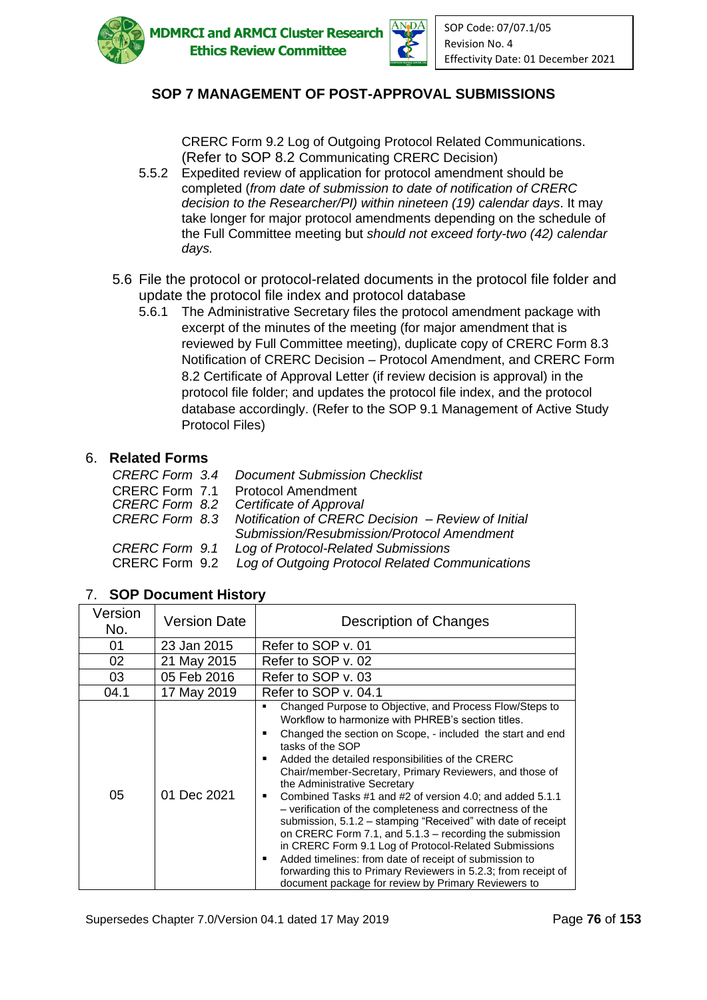



CRERC Form 9.2 Log of Outgoing Protocol Related Communications. (Refer to SOP 8.2 Communicating CRERC Decision)

- 5.5.2 Expedited review of application for protocol amendment should be completed (*from date of submission to date of notification of CRERC decision to the Researcher/PI) within nineteen (19) calendar days*. It may take longer for major protocol amendments depending on the schedule of the Full Committee meeting but *should not exceed forty-two (42) calendar days.*
- 5.6 File the protocol or protocol-related documents in the protocol file folder and update the protocol file index and protocol database
	- 5.6.1 The Administrative Secretary files the protocol amendment package with excerpt of the minutes of the meeting (for major amendment that is reviewed by Full Committee meeting), duplicate copy of CRERC Form 8.3 Notification of CRERC Decision – Protocol Amendment, and CRERC Form 8.2 Certificate of Approval Letter (if review decision is approval) in the protocol file folder; and updates the protocol file index, and the protocol database accordingly. (Refer to the SOP 9.1 Management of Active Study Protocol Files)

#### 6. **Related Forms**

|                | <b>CRERC Form 3.4 Document Submission Checklist</b>               |
|----------------|-------------------------------------------------------------------|
|                | <b>CRERC Form 7.1 Protocol Amendment</b>                          |
|                | CRERC Form 8.2 Certificate of Approval                            |
|                | CRERC Form 8.3 Notification of CRERC Decision - Review of Initial |
|                | Submission/Resubmission/Protocol Amendment                        |
|                | <b>CRERC Form 9.1 Log of Protocol-Related Submissions</b>         |
| CRERC Form 9.2 | Log of Outgoing Protocol Related Communications                   |

#### 7. **SOP Document History**

| Version<br>No. | <b>Version Date</b> | Description of Changes                                                                                                                                                                                                                                                                                                                                                                                                                                                                                                                                                                                                                                                                                                                                                                                                                                     |
|----------------|---------------------|------------------------------------------------------------------------------------------------------------------------------------------------------------------------------------------------------------------------------------------------------------------------------------------------------------------------------------------------------------------------------------------------------------------------------------------------------------------------------------------------------------------------------------------------------------------------------------------------------------------------------------------------------------------------------------------------------------------------------------------------------------------------------------------------------------------------------------------------------------|
| 01             | 23 Jan 2015         | Refer to SOP v. 01                                                                                                                                                                                                                                                                                                                                                                                                                                                                                                                                                                                                                                                                                                                                                                                                                                         |
| 02             | 21 May 2015         | Refer to SOP v. 02                                                                                                                                                                                                                                                                                                                                                                                                                                                                                                                                                                                                                                                                                                                                                                                                                                         |
| 03             | 05 Feb 2016         | Refer to SOP v. 03                                                                                                                                                                                                                                                                                                                                                                                                                                                                                                                                                                                                                                                                                                                                                                                                                                         |
| 04.1           | 17 May 2019         | Refer to SOP v. 04.1                                                                                                                                                                                                                                                                                                                                                                                                                                                                                                                                                                                                                                                                                                                                                                                                                                       |
| 05             | 01 Dec 2021         | Changed Purpose to Objective, and Process Flow/Steps to<br>Workflow to harmonize with PHRFB's section titles.<br>Changed the section on Scope, - included the start and end<br>٠<br>tasks of the SOP<br>Added the detailed responsibilities of the CRERC<br>Chair/member-Secretary, Primary Reviewers, and those of<br>the Administrative Secretary<br>Combined Tasks #1 and #2 of version 4.0; and added 5.1.1<br>٠<br>- verification of the completeness and correctness of the<br>submission, 5.1.2 – stamping "Received" with date of receipt<br>on CRERC Form 7.1, and $5.1.3$ – recording the submission<br>in CRERC Form 9.1 Log of Protocol-Related Submissions<br>Added timelines: from date of receipt of submission to<br>forwarding this to Primary Reviewers in 5.2.3; from receipt of<br>document package for review by Primary Reviewers to |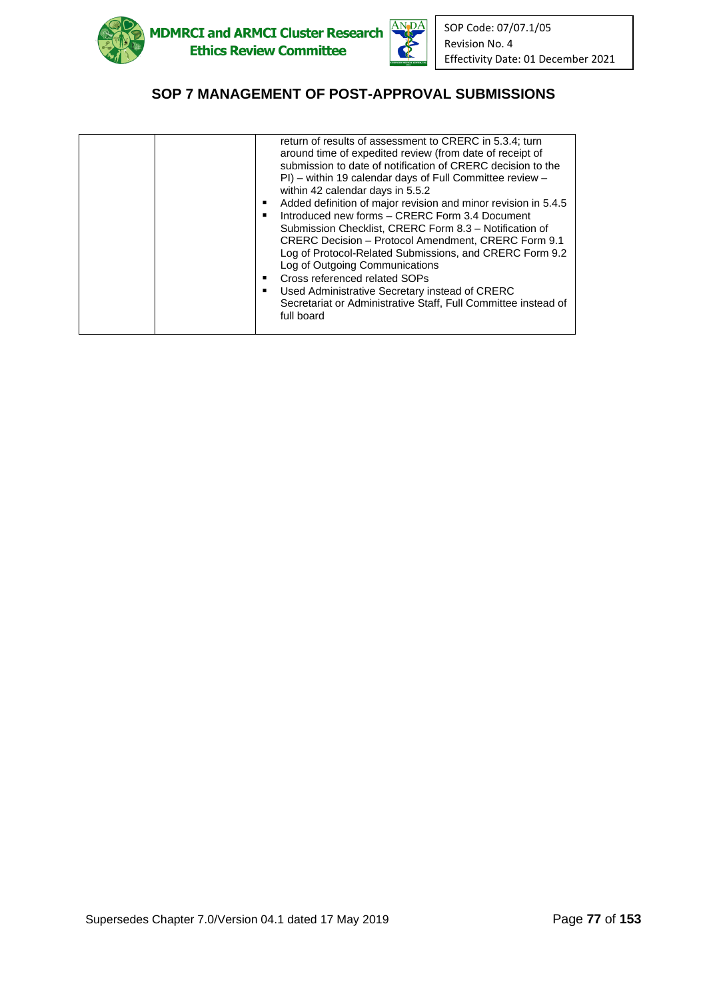



| return of results of assessment to CRERC in 5.3.4; turn        |
|----------------------------------------------------------------|
| around time of expedited review (from date of receipt of       |
| submission to date of notification of CRERC decision to the    |
| PI) – within 19 calendar days of Full Committee review –       |
| within 42 calendar days in 5.5.2                               |
| Added definition of major revision and minor revision in 5.4.5 |
| Introduced new forms – CRERC Form 3.4 Document                 |
| Submission Checklist, CRERC Form 8.3 - Notification of         |
| <b>CRERC Decision - Protocol Amendment, CRERC Form 9.1</b>     |
| Log of Protocol-Related Submissions, and CRERC Form 9.2        |
| Log of Outgoing Communications                                 |
| Cross referenced related SOPs                                  |
| Used Administrative Secretary instead of CRERC                 |
| Secretariat or Administrative Staff, Full Committee instead of |
| full board                                                     |
|                                                                |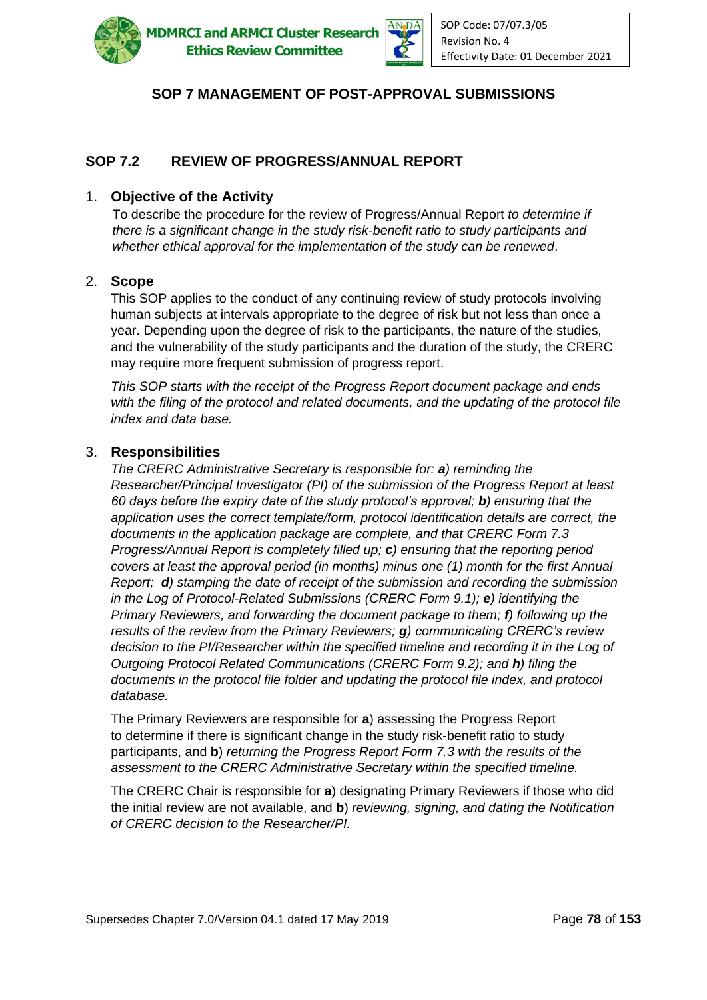

**ADMRCI and ARMCI Cluster Research Ethics Review Committee** 



# **SOP 7 MANAGEMENT OF POST-APPROVAL SUBMISSIONS**

# **SOP 7.2 REVIEW OF PROGRESS/ANNUAL REPORT**

#### 1. **Objective of the Activity**

To describe the procedure for the review of Progress/Annual Report *to determine if there is a significant change in the study risk-benefit ratio to study participants and whether ethical approval for the implementation of the study can be renewed*.

#### 2. **Scope**

This SOP applies to the conduct of any continuing review of study protocols involving human subjects at intervals appropriate to the degree of risk but not less than once a year. Depending upon the degree of risk to the participants, the nature of the studies, and the vulnerability of the study participants and the duration of the study, the CRERC may require more frequent submission of progress report.

*This SOP starts with the receipt of the Progress Report document package and ends with the filing of the protocol and related documents, and the updating of the protocol file index and data base.*

#### 3. **Responsibilities**

*The CRERC Administrative Secretary is responsible for: a) reminding the Researcher/Principal Investigator (PI) of the submission of the Progress Report at least 60 days before the expiry date of the study protocol's approval; b) ensuring that the application uses the correct template/form, protocol identification details are correct, the documents in the application package are complete, and that CRERC Form 7.3 Progress/Annual Report is completely filled up; c) ensuring that the reporting period covers at least the approval period (in months) minus one (1) month for the first Annual Report; d) stamping the date of receipt of the submission and recording the submission in the Log of Protocol-Related Submissions (CRERC Form 9.1); e) identifying the Primary Reviewers, and forwarding the document package to them; f) following up the results of the review from the Primary Reviewers; g) communicating CRERC's review decision to the PI/Researcher within the specified timeline and recording it in the Log of Outgoing Protocol Related Communications (CRERC Form 9.2); and h) filing the documents in the protocol file folder and updating the protocol file index, and protocol database.* 

The Primary Reviewers are responsible for **a**) assessing the Progress Report to determine if there is significant change in the study risk-benefit ratio to study participants, and **b**) *returning the Progress Report Form 7.3 with the results of the assessment to the CRERC Administrative Secretary within the specified timeline.*

The CRERC Chair is responsible for **a**) designating Primary Reviewers if those who did the initial review are not available, and **b**) *reviewing, signing, and dating the Notification of CRERC decision to the Researcher/PI.*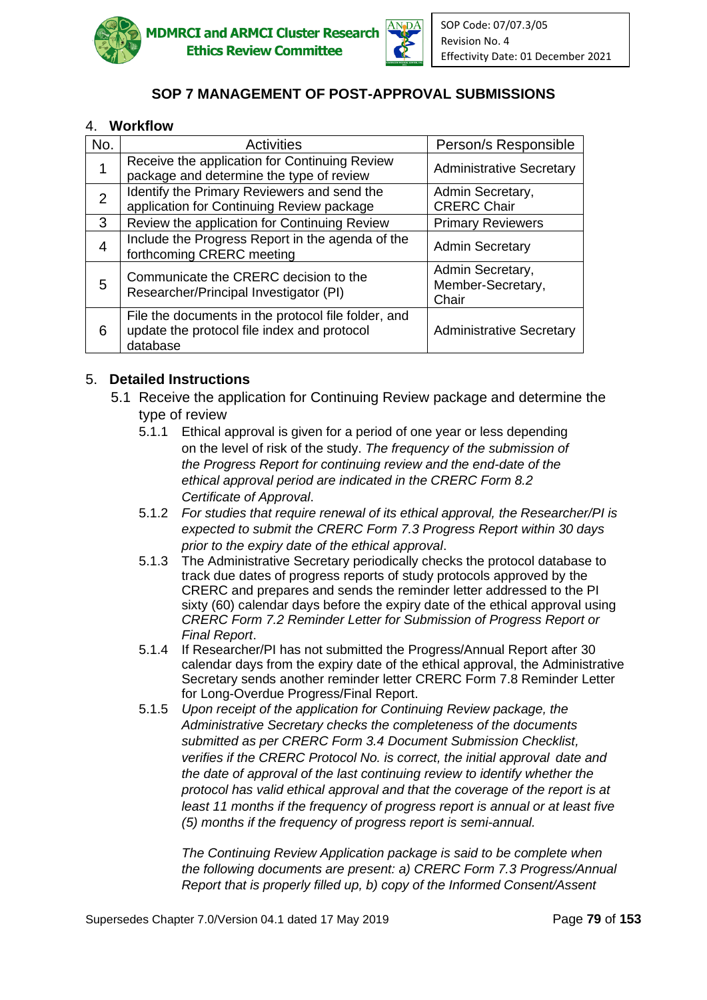



### 4. **Workflow**

| No.            | <b>Activities</b>                                                                                              | Person/s Responsible                           |
|----------------|----------------------------------------------------------------------------------------------------------------|------------------------------------------------|
| 1              | Receive the application for Continuing Review<br>package and determine the type of review                      | <b>Administrative Secretary</b>                |
| $\overline{2}$ | Identify the Primary Reviewers and send the<br>application for Continuing Review package                       | Admin Secretary,<br><b>CRERC Chair</b>         |
| 3              | Review the application for Continuing Review                                                                   | <b>Primary Reviewers</b>                       |
| $\overline{4}$ | Include the Progress Report in the agenda of the<br>forthcoming CRERC meeting                                  | <b>Admin Secretary</b>                         |
| 5              | Communicate the CRERC decision to the<br>Researcher/Principal Investigator (PI)                                | Admin Secretary,<br>Member-Secretary,<br>Chair |
| 6              | File the documents in the protocol file folder, and<br>update the protocol file index and protocol<br>database | <b>Administrative Secretary</b>                |

#### 5. **Detailed Instructions**

- 5.1 Receive the application for Continuing Review package and determine the type of review
	- 5.1.1 Ethical approval is given for a period of one year or less depending on the level of risk of the study. *The frequency of the submission of the Progress Report for continuing review and the end-date of the ethical approval period are indicated in the CRERC Form 8.2 Certificate of Approval*.
	- 5.1.2 *For studies that require renewal of its ethical approval, the Researcher/PI is expected to submit the CRERC Form 7.3 Progress Report within 30 days prior to the expiry date of the ethical approval*.
	- 5.1.3 The Administrative Secretary periodically checks the protocol database to track due dates of progress reports of study protocols approved by the CRERC and prepares and sends the reminder letter addressed to the PI sixty (60) calendar days before the expiry date of the ethical approval using *CRERC Form 7.2 Reminder Letter for Submission of Progress Report or Final Report*.
	- 5.1.4 If Researcher/PI has not submitted the Progress/Annual Report after 30 calendar days from the expiry date of the ethical approval, the Administrative Secretary sends another reminder letter CRERC Form 7.8 Reminder Letter for Long-Overdue Progress/Final Report.
	- 5.1.5 *Upon receipt of the application for Continuing Review package, the Administrative Secretary checks the completeness of the documents submitted as per CRERC Form 3.4 Document Submission Checklist, verifies if the CRERC Protocol No. is correct, the initial approval date and the date of approval of the last continuing review to identify whether the protocol has valid ethical approval and that the coverage of the report is at least 11 months if the frequency of progress report is annual or at least five (5) months if the frequency of progress report is semi-annual.*

*The Continuing Review Application package is said to be complete when the following documents are present: a) CRERC Form 7.3 Progress/Annual Report that is properly filled up, b) copy of the Informed Consent/Assent*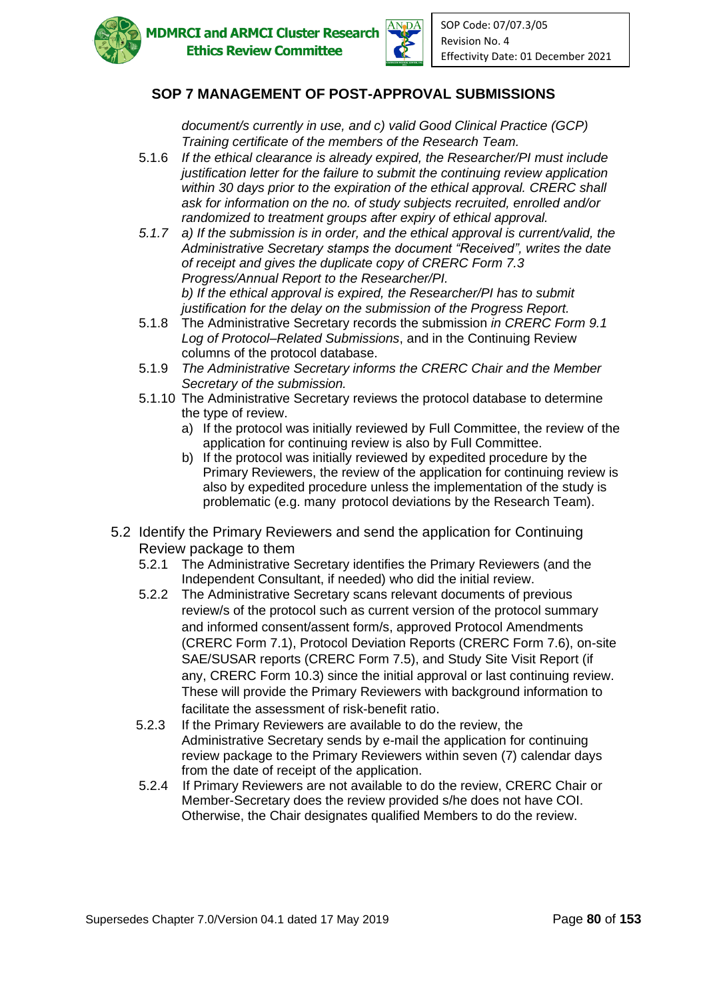



*document/s currently in use, and c) valid Good Clinical Practice (GCP) Training certificate of the members of the Research Team.* 

- 5.1.6 *If the ethical clearance is already expired, the Researcher/PI must include justification letter for the failure to submit the continuing review application within 30 days prior to the expiration of the ethical approval. CRERC shall ask for information on the no. of study subjects recruited, enrolled and/or randomized to treatment groups after expiry of ethical approval.*
- *5.1.7 a) If the submission is in order, and the ethical approval is current/valid, the Administrative Secretary stamps the document "Received", writes the date of receipt and gives the duplicate copy of CRERC Form 7.3 Progress/Annual Report to the Researcher/PI. b) If the ethical approval is expired, the Researcher/PI has to submit justification for the delay on the submission of the Progress Report.*
- 5.1.8 The Administrative Secretary records the submission *in CRERC Form 9.1 Log of Protocol–Related Submissions*, and in the Continuing Review columns of the protocol database.
- 5.1.9 *The Administrative Secretary informs the CRERC Chair and the Member Secretary of the submission.*
- 5.1.10 The Administrative Secretary reviews the protocol database to determine the type of review.
	- a) If the protocol was initially reviewed by Full Committee, the review of the application for continuing review is also by Full Committee.
	- b) If the protocol was initially reviewed by expedited procedure by the Primary Reviewers, the review of the application for continuing review is also by expedited procedure unless the implementation of the study is problematic (e.g. many protocol deviations by the Research Team).
- 5.2 Identify the Primary Reviewers and send the application for Continuing Review package to them
	- 5.2.1 The Administrative Secretary identifies the Primary Reviewers (and the Independent Consultant, if needed) who did the initial review.
	- 5.2.2 The Administrative Secretary scans relevant documents of previous review/s of the protocol such as current version of the protocol summary and informed consent/assent form/s, approved Protocol Amendments (CRERC Form 7.1), Protocol Deviation Reports (CRERC Form 7.6), on-site SAE/SUSAR reports (CRERC Form 7.5), and Study Site Visit Report (if any, CRERC Form 10.3) since the initial approval or last continuing review. These will provide the Primary Reviewers with background information to facilitate the assessment of risk-benefit ratio.
	- 5.2.3 If the Primary Reviewers are available to do the review, the Administrative Secretary sends by e-mail the application for continuing review package to the Primary Reviewers within seven (7) calendar days from the date of receipt of the application.
	- 5.2.4 If Primary Reviewers are not available to do the review, CRERC Chair or Member-Secretary does the review provided s/he does not have COI. Otherwise, the Chair designates qualified Members to do the review.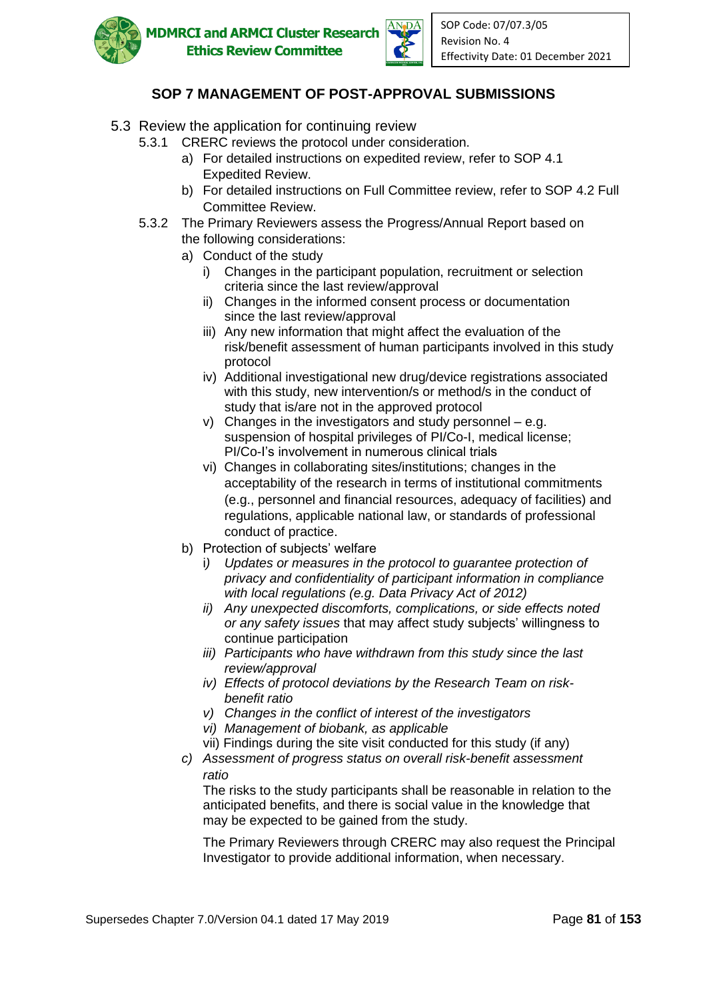



- 5.3 Review the application for continuing review
	- 5.3.1 CRERC reviews the protocol under consideration.
		- a) For detailed instructions on expedited review, refer to SOP 4.1 Expedited Review.
		- b) For detailed instructions on Full Committee review, refer to SOP 4.2 Full Committee Review.
	- 5.3.2 The Primary Reviewers assess the Progress/Annual Report based on the following considerations:
		- a) Conduct of the study
			- i) Changes in the participant population, recruitment or selection criteria since the last review/approval
			- ii) Changes in the informed consent process or documentation since the last review/approval
			- iii) Any new information that might affect the evaluation of the risk/benefit assessment of human participants involved in this study protocol
			- iv) Additional investigational new drug/device registrations associated with this study, new intervention/s or method/s in the conduct of study that is/are not in the approved protocol
			- v) Changes in the investigators and study personnel e.g. suspension of hospital privileges of PI/Co-I, medical license; PI/Co-I's involvement in numerous clinical trials
			- vi) Changes in collaborating sites/institutions; changes in the acceptability of the research in terms of institutional commitments (e.g., personnel and financial resources, adequacy of facilities) and regulations, applicable national law, or standards of professional conduct of practice.
		- b) Protection of subjects' welfare
			- i*) Updates or measures in the protocol to guarantee protection of privacy and confidentiality of participant information in compliance with local regulations (e.g. Data Privacy Act of 2012)*
			- *ii) Any unexpected discomforts, complications, or side effects noted or any safety issues* that may affect study subjects' willingness to continue participation
			- *iii) Participants who have withdrawn from this study since the last review/approval*
			- *iv) Effects of protocol deviations by the Research Team on risk benefit ratio*
			- *v) Changes in the conflict of interest of the investigators*
			- *vi) Management of biobank, as applicable*
			- vii) Findings during the site visit conducted for this study (if any)
		- *c) Assessment of progress status on overall risk-benefit assessment ratio*

The risks to the study participants shall be reasonable in relation to the anticipated benefits, and there is social value in the knowledge that may be expected to be gained from the study.

The Primary Reviewers through CRERC may also request the Principal Investigator to provide additional information, when necessary.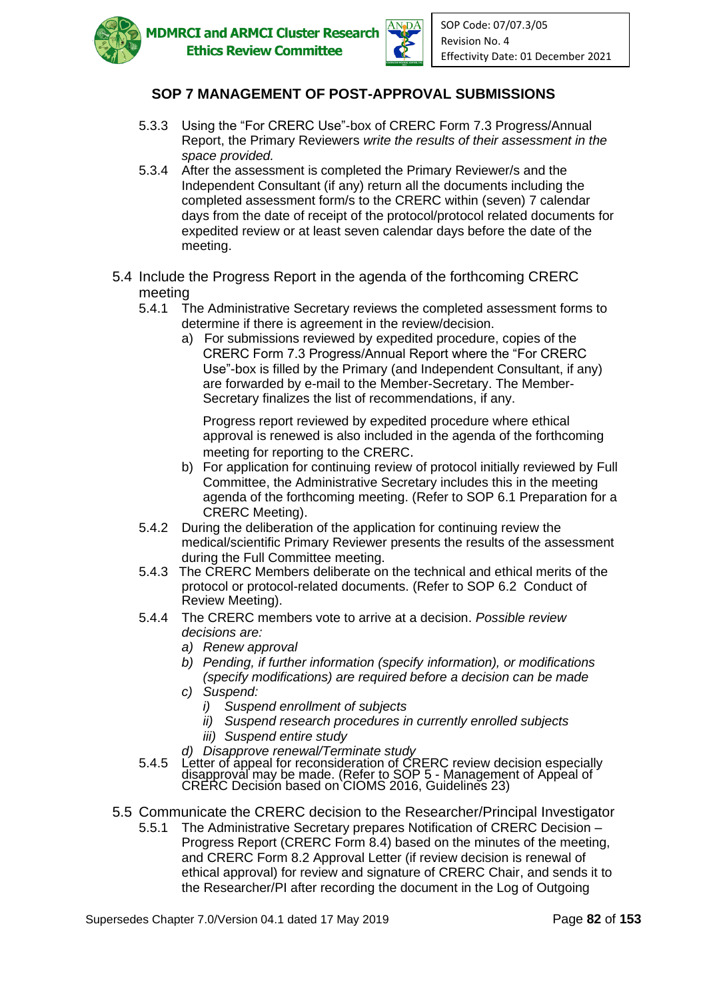



- 5.3.3 Using the "For CRERC Use"-box of CRERC Form 7.3 Progress/Annual Report, the Primary Reviewers *write the results of their assessment in the space provided.*
- 5.3.4 After the assessment is completed the Primary Reviewer/s and the Independent Consultant (if any) return all the documents including the completed assessment form/s to the CRERC within (seven) 7 calendar days from the date of receipt of the protocol/protocol related documents for expedited review or at least seven calendar days before the date of the meeting.
- 5.4 Include the Progress Report in the agenda of the forthcoming CRERC meeting
	- 5.4.1 The Administrative Secretary reviews the completed assessment forms to determine if there is agreement in the review/decision.
		- a) For submissions reviewed by expedited procedure, copies of the CRERC Form 7.3 Progress/Annual Report where the "For CRERC Use"-box is filled by the Primary (and Independent Consultant, if any) are forwarded by e-mail to the Member-Secretary. The Member-Secretary finalizes the list of recommendations, if any.

Progress report reviewed by expedited procedure where ethical approval is renewed is also included in the agenda of the forthcoming meeting for reporting to the CRERC.

- b) For application for continuing review of protocol initially reviewed by Full Committee, the Administrative Secretary includes this in the meeting agenda of the forthcoming meeting. (Refer to SOP 6.1 Preparation for a CRERC Meeting).
- 5.4.2 During the deliberation of the application for continuing review the medical/scientific Primary Reviewer presents the results of the assessment during the Full Committee meeting.
- 5.4.3 The CRERC Members deliberate on the technical and ethical merits of the protocol or protocol-related documents. (Refer to SOP 6.2 Conduct of Review Meeting).
- 5.4.4 The CRERC members vote to arrive at a decision. *Possible review decisions are:*
	- *a) Renew approval*
	- *b) Pending, if further information (specify information), or modifications (specify modifications) are required before a decision can be made*
	- *c) Suspend:*
		- *i) Suspend enrollment of subjects*
		- *ii) Suspend research procedures in currently enrolled subjects*
		- *iii) Suspend entire study*
	- *d) Disapprove renewal/Terminate study*
- 5.4.5 Letter of appeal for reconsideration of CRERC review decision especially disapproval may be made. (Refer to SOP 5 - Management of Appeal of CRERC Decision based on CIOMS 2016, Guidelines 23)
- 5.5 Communicate the CRERC decision to the Researcher/Principal Investigator
	- 5.5.1 The Administrative Secretary prepares Notification of CRERC Decision Progress Report (CRERC Form 8.4) based on the minutes of the meeting, and CRERC Form 8.2 Approval Letter (if review decision is renewal of ethical approval) for review and signature of CRERC Chair, and sends it to the Researcher/PI after recording the document in the Log of Outgoing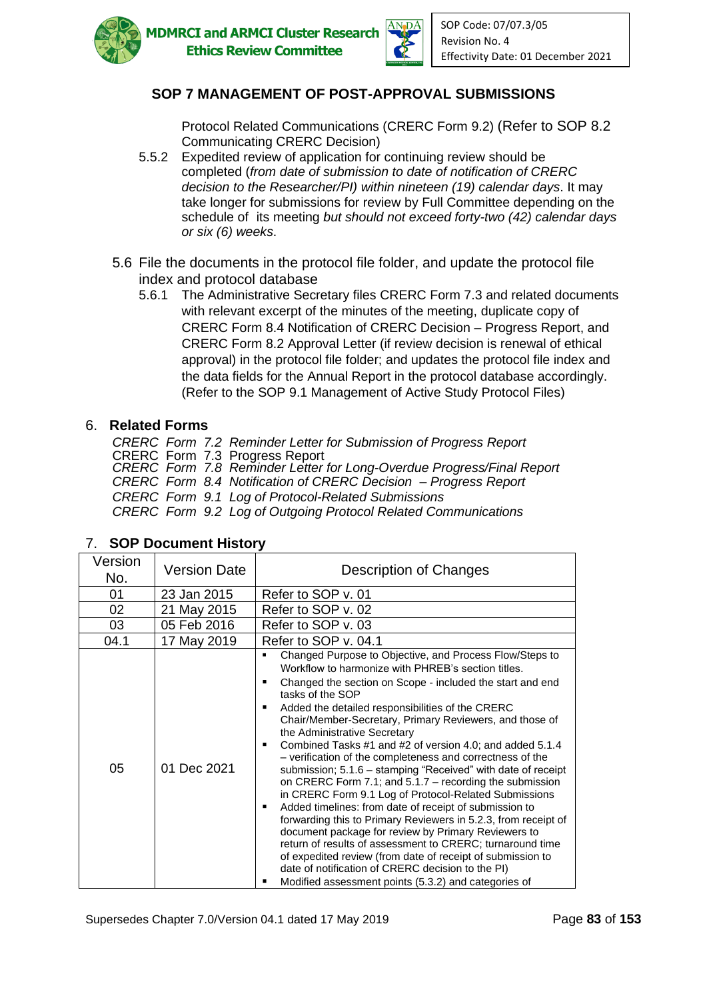



Protocol Related Communications (CRERC Form 9.2) (Refer to SOP 8.2 Communicating CRERC Decision)

- 5.5.2 Expedited review of application for continuing review should be completed (*from date of submission to date of notification of CRERC decision to the Researcher/PI) within nineteen (19) calendar days*. It may take longer for submissions for review by Full Committee depending on the schedule of its meeting *but should not exceed forty-two (42) calendar days or six (6) weeks*.
- 5.6 File the documents in the protocol file folder, and update the protocol file index and protocol database
	- 5.6.1 The Administrative Secretary files CRERC Form 7.3 and related documents with relevant excerpt of the minutes of the meeting, duplicate copy of CRERC Form 8.4 Notification of CRERC Decision – Progress Report, and CRERC Form 8.2 Approval Letter (if review decision is renewal of ethical approval) in the protocol file folder; and updates the protocol file index and the data fields for the Annual Report in the protocol database accordingly. (Refer to the SOP 9.1 Management of Active Study Protocol Files)

#### 6. **Related Forms**

*CRERC Form 7.2 Reminder Letter for Submission of Progress Report* CRERC Form 7.3 Progress Report *CRERC Form 7.8 Reminder Letter for Long-Overdue Progress/Final Report CRERC Form 8.4 Notification of CRERC Decision – Progress Report CRERC Form 9.1 Log of Protocol-Related Submissions CRERC Form 9.2 Log of Outgoing Protocol Related Communications*

| Version<br>No. | <b>Version Date</b> | Description of Changes                                                                                                                                                                                                                                                                                                                                                                                                                                                                                                                                                                                                                                                                                                                                                                                                                                                                                                                                                                                                                                                                            |
|----------------|---------------------|---------------------------------------------------------------------------------------------------------------------------------------------------------------------------------------------------------------------------------------------------------------------------------------------------------------------------------------------------------------------------------------------------------------------------------------------------------------------------------------------------------------------------------------------------------------------------------------------------------------------------------------------------------------------------------------------------------------------------------------------------------------------------------------------------------------------------------------------------------------------------------------------------------------------------------------------------------------------------------------------------------------------------------------------------------------------------------------------------|
| 01             | 23 Jan 2015         | Refer to SOP v. 01                                                                                                                                                                                                                                                                                                                                                                                                                                                                                                                                                                                                                                                                                                                                                                                                                                                                                                                                                                                                                                                                                |
| 02             | 21 May 2015         | Refer to SOP v. 02                                                                                                                                                                                                                                                                                                                                                                                                                                                                                                                                                                                                                                                                                                                                                                                                                                                                                                                                                                                                                                                                                |
| 03             | 05 Feb 2016         | Refer to SOP v. 03                                                                                                                                                                                                                                                                                                                                                                                                                                                                                                                                                                                                                                                                                                                                                                                                                                                                                                                                                                                                                                                                                |
| 04.1           | 17 May 2019         | Refer to SOP v. 04.1                                                                                                                                                                                                                                                                                                                                                                                                                                                                                                                                                                                                                                                                                                                                                                                                                                                                                                                                                                                                                                                                              |
| 05             | 01 Dec 2021         | Changed Purpose to Objective, and Process Flow/Steps to<br>٠<br>Workflow to harmonize with PHREB's section titles.<br>Changed the section on Scope - included the start and end<br>٠<br>tasks of the SOP<br>Added the detailed responsibilities of the CRERC<br>Chair/Member-Secretary, Primary Reviewers, and those of<br>the Administrative Secretary<br>Combined Tasks #1 and #2 of version 4.0; and added 5.1.4<br>- verification of the completeness and correctness of the<br>submission; 5.1.6 – stamping "Received" with date of receipt<br>on CRERC Form 7.1; and $5.1.7$ – recording the submission<br>in CRERC Form 9.1 Log of Protocol-Related Submissions<br>Added timelines: from date of receipt of submission to<br>forwarding this to Primary Reviewers in 5.2.3, from receipt of<br>document package for review by Primary Reviewers to<br>return of results of assessment to CRERC; turnaround time<br>of expedited review (from date of receipt of submission to<br>date of notification of CRERC decision to the PI)<br>Modified assessment points (5.3.2) and categories of |

### 7. **SOP Document History**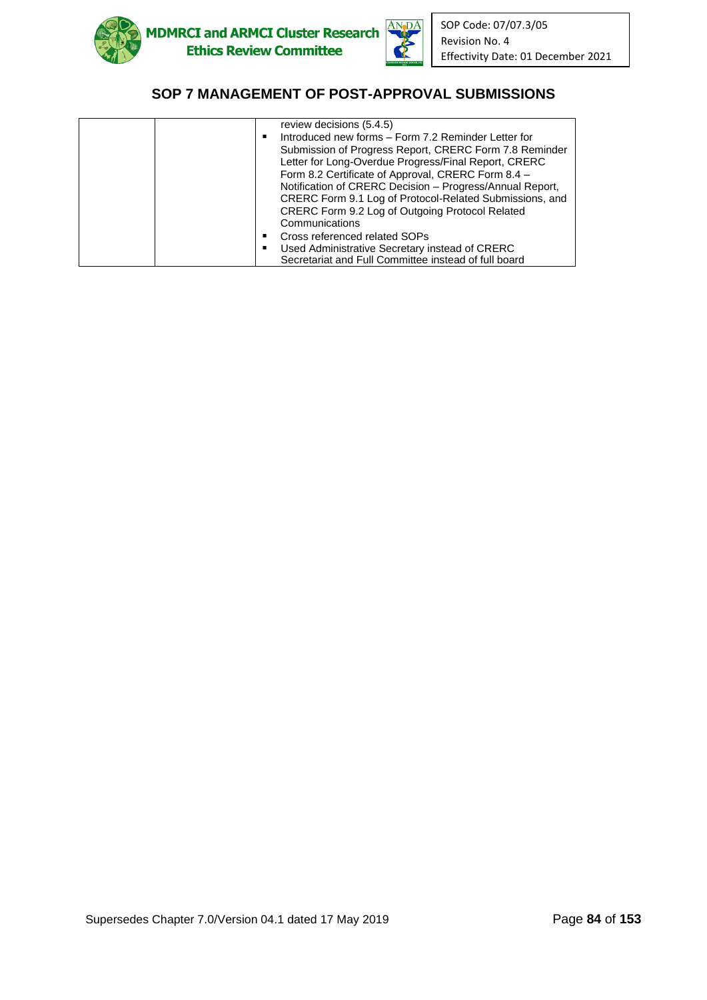



| review decisions (5.4.5)                                 |
|----------------------------------------------------------|
| Introduced new forms - Form 7.2 Reminder Letter for      |
| Submission of Progress Report, CRERC Form 7.8 Reminder   |
| Letter for Long-Overdue Progress/Final Report, CRERC     |
| Form 8.2 Certificate of Approval, CRERC Form 8.4 -       |
| Notification of CRERC Decision - Progress/Annual Report, |
| CRERC Form 9.1 Log of Protocol-Related Submissions, and  |
| CRERC Form 9.2 Log of Outgoing Protocol Related          |
| Communications                                           |
| Cross referenced related SOPs                            |
| Used Administrative Secretary instead of CRERC           |
| Secretariat and Full Committee instead of full board     |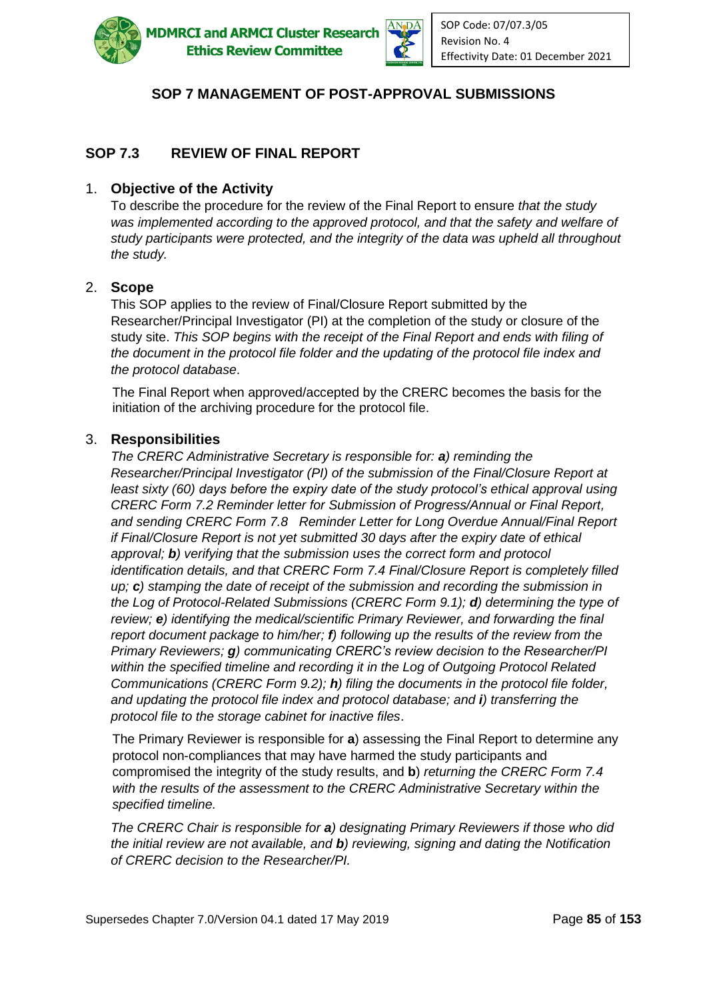

**ADMRCI and ARMCI Cluster Research Ethics Review Committee** 



# **SOP 7 MANAGEMENT OF POST-APPROVAL SUBMISSIONS**

# **SOP 7.3 REVIEW OF FINAL REPORT**

#### 1. **Objective of the Activity**

To describe the procedure for the review of the Final Report to ensure *that the study was implemented according to the approved protocol, and that the safety and welfare of study participants were protected, and the integrity of the data was upheld all throughout the study.*

#### 2. **Scope**

This SOP applies to the review of Final/Closure Report submitted by the Researcher/Principal Investigator (PI) at the completion of the study or closure of the study site. *This SOP begins with the receipt of the Final Report and ends with filing of the document in the protocol file folder and the updating of the protocol file index and the protocol database*.

The Final Report when approved/accepted by the CRERC becomes the basis for the initiation of the archiving procedure for the protocol file.

#### 3. **Responsibilities**

*The CRERC Administrative Secretary is responsible for: a) reminding the Researcher/Principal Investigator (PI) of the submission of the Final/Closure Report at least sixty (60) days before the expiry date of the study protocol's ethical approval using CRERC Form 7.2 Reminder letter for Submission of Progress/Annual or Final Report, and sending CRERC Form 7.8 Reminder Letter for Long Overdue Annual/Final Report if Final/Closure Report is not yet submitted 30 days after the expiry date of ethical approval; b) verifying that the submission uses the correct form and protocol identification details, and that CRERC Form 7.4 Final/Closure Report is completely filled up; c) stamping the date of receipt of the submission and recording the submission in the Log of Protocol-Related Submissions (CRERC Form 9.1); d) determining the type of review; e) identifying the medical/scientific Primary Reviewer, and forwarding the final report document package to him/her; f) following up the results of the review from the Primary Reviewers; g) communicating CRERC's review decision to the Researcher/PI within the specified timeline and recording it in the Log of Outgoing Protocol Related Communications (CRERC Form 9.2); h) filing the documents in the protocol file folder, and updating the protocol file index and protocol database; and i) transferring the protocol file to the storage cabinet for inactive files*.

The Primary Reviewer is responsible for **a**) assessing the Final Report to determine any protocol non-compliances that may have harmed the study participants and compromised the integrity of the study results, and **b**) *returning the CRERC Form 7.4 with the results of the assessment to the CRERC Administrative Secretary within the specified timeline.*

*The CRERC Chair is responsible for a) designating Primary Reviewers if those who did the initial review are not available, and b) reviewing, signing and dating the Notification of CRERC decision to the Researcher/PI.*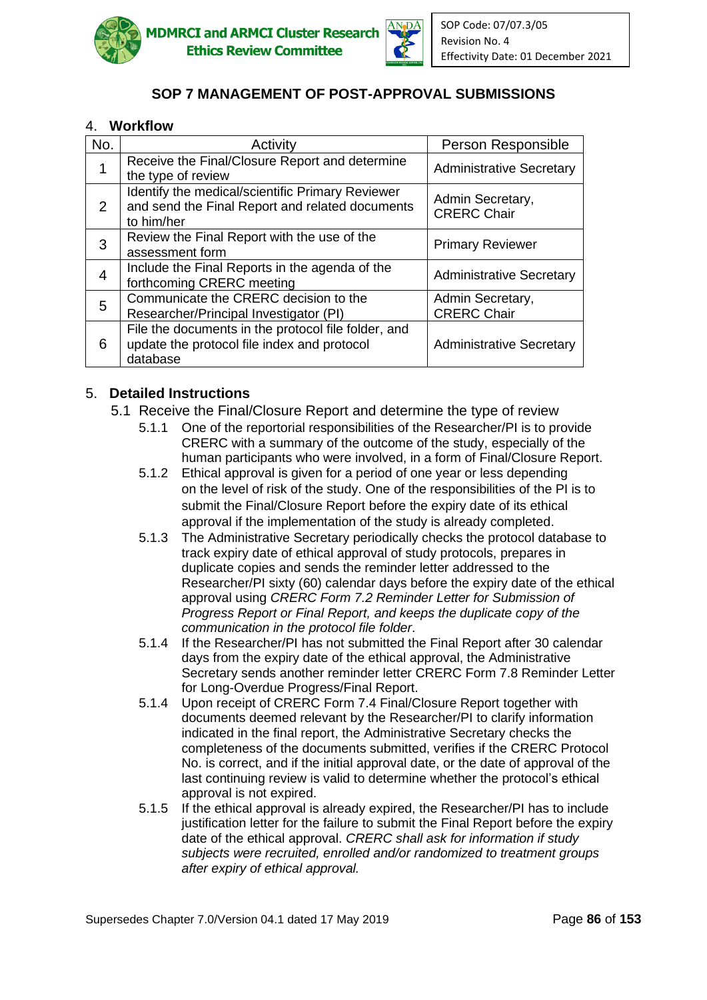



### 4. **Workflow**

| No. | Activity                                                                                                          | Person Responsible                     |
|-----|-------------------------------------------------------------------------------------------------------------------|----------------------------------------|
| 1   | Receive the Final/Closure Report and determine<br>the type of review                                              | <b>Administrative Secretary</b>        |
| 2   | Identify the medical/scientific Primary Reviewer<br>and send the Final Report and related documents<br>to him/her | Admin Secretary,<br><b>CRERC Chair</b> |
| 3   | Review the Final Report with the use of the<br>assessment form                                                    | <b>Primary Reviewer</b>                |
| 4   | Include the Final Reports in the agenda of the<br>forthcoming CRERC meeting                                       | <b>Administrative Secretary</b>        |
| 5   | Communicate the CRERC decision to the<br>Researcher/Principal Investigator (PI)                                   | Admin Secretary,<br><b>CRERC Chair</b> |
| 6   | File the documents in the protocol file folder, and<br>update the protocol file index and protocol<br>database    | <b>Administrative Secretary</b>        |

### 5. **Detailed Instructions**

- 5.1 Receive the Final/Closure Report and determine the type of review
	- 5.1.1 One of the reportorial responsibilities of the Researcher/PI is to provide CRERC with a summary of the outcome of the study, especially of the human participants who were involved, in a form of Final/Closure Report.
	- 5.1.2 Ethical approval is given for a period of one year or less depending on the level of risk of the study. One of the responsibilities of the PI is to submit the Final/Closure Report before the expiry date of its ethical approval if the implementation of the study is already completed.
	- 5.1.3 The Administrative Secretary periodically checks the protocol database to track expiry date of ethical approval of study protocols, prepares in duplicate copies and sends the reminder letter addressed to the Researcher/PI sixty (60) calendar days before the expiry date of the ethical approval using *CRERC Form 7.2 Reminder Letter for Submission of Progress Report or Final Report, and keeps the duplicate copy of the communication in the protocol file folder*.
	- 5.1.4 If the Researcher/PI has not submitted the Final Report after 30 calendar days from the expiry date of the ethical approval, the Administrative Secretary sends another reminder letter CRERC Form 7.8 Reminder Letter for Long-Overdue Progress/Final Report.
	- 5.1.4 Upon receipt of CRERC Form 7.4 Final/Closure Report together with documents deemed relevant by the Researcher/PI to clarify information indicated in the final report, the Administrative Secretary checks the completeness of the documents submitted, verifies if the CRERC Protocol No. is correct, and if the initial approval date, or the date of approval of the last continuing review is valid to determine whether the protocol's ethical approval is not expired.
	- 5.1.5 If the ethical approval is already expired, the Researcher/PI has to include justification letter for the failure to submit the Final Report before the expiry date of the ethical approval. *CRERC shall ask for information if study subjects were recruited, enrolled and/or randomized to treatment groups after expiry of ethical approval.*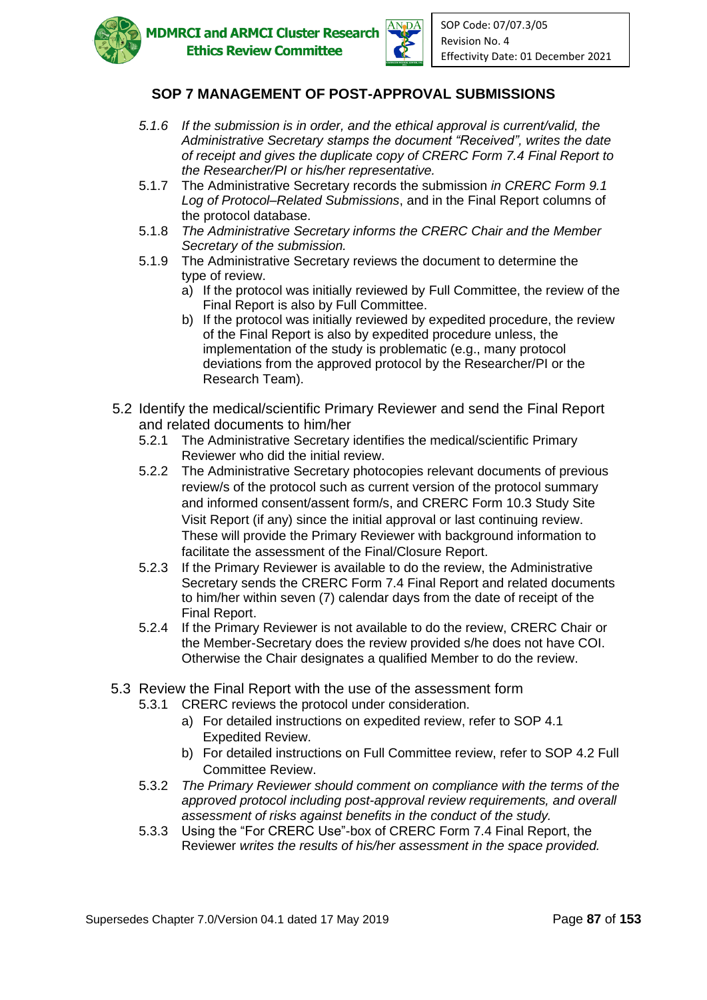



- *5.1.6 If the submission is in order, and the ethical approval is current/valid, the Administrative Secretary stamps the document "Received", writes the date of receipt and gives the duplicate copy of CRERC Form 7.4 Final Report to the Researcher/PI or his/her representative.*
- 5.1.7 The Administrative Secretary records the submission *in CRERC Form 9.1 Log of Protocol–Related Submissions*, and in the Final Report columns of the protocol database.
- 5.1.8 *The Administrative Secretary informs the CRERC Chair and the Member Secretary of the submission.*
- 5.1.9 The Administrative Secretary reviews the document to determine the type of review.
	- a) If the protocol was initially reviewed by Full Committee, the review of the Final Report is also by Full Committee.
	- b) If the protocol was initially reviewed by expedited procedure, the review of the Final Report is also by expedited procedure unless, the implementation of the study is problematic (e.g., many protocol deviations from the approved protocol by the Researcher/PI or the Research Team).
- 5.2 Identify the medical/scientific Primary Reviewer and send the Final Report and related documents to him/her
	- 5.2.1 The Administrative Secretary identifies the medical/scientific Primary Reviewer who did the initial review.
	- 5.2.2 The Administrative Secretary photocopies relevant documents of previous review/s of the protocol such as current version of the protocol summary and informed consent/assent form/s, and CRERC Form 10.3 Study Site Visit Report (if any) since the initial approval or last continuing review. These will provide the Primary Reviewer with background information to facilitate the assessment of the Final/Closure Report.
	- 5.2.3 If the Primary Reviewer is available to do the review, the Administrative Secretary sends the CRERC Form 7.4 Final Report and related documents to him/her within seven (7) calendar days from the date of receipt of the Final Report.
	- 5.2.4 If the Primary Reviewer is not available to do the review, CRERC Chair or the Member-Secretary does the review provided s/he does not have COI. Otherwise the Chair designates a qualified Member to do the review.
- 5.3 Review the Final Report with the use of the assessment form
	- 5.3.1 CRERC reviews the protocol under consideration.
		- a) For detailed instructions on expedited review, refer to SOP 4.1 Expedited Review.
		- b) For detailed instructions on Full Committee review, refer to SOP 4.2 Full Committee Review.
	- 5.3.2 *The Primary Reviewer should comment on compliance with the terms of the approved protocol including post-approval review requirements, and overall assessment of risks against benefits in the conduct of the study.*
	- 5.3.3 Using the "For CRERC Use"-box of CRERC Form 7.4 Final Report, the Reviewer *writes the results of his/her assessment in the space provided.*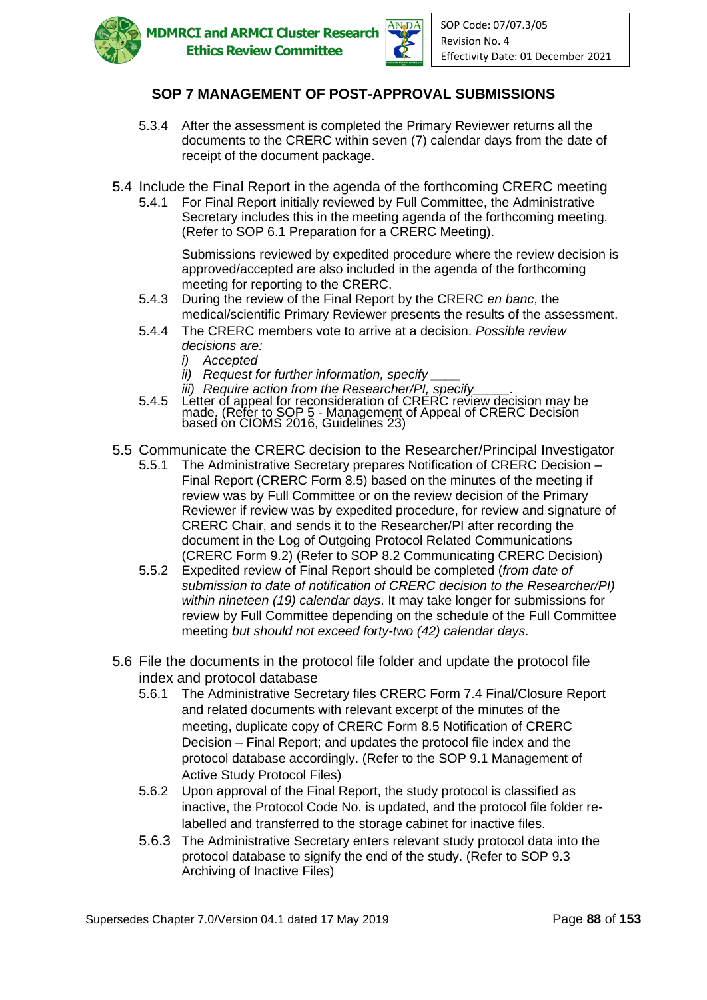



- 5.3.4 After the assessment is completed the Primary Reviewer returns all the documents to the CRERC within seven (7) calendar days from the date of receipt of the document package.
- 5.4 Include the Final Report in the agenda of the forthcoming CRERC meeting
	- 5.4.1 For Final Report initially reviewed by Full Committee, the Administrative Secretary includes this in the meeting agenda of the forthcoming meeting. (Refer to SOP 6.1 Preparation for a CRERC Meeting).

Submissions reviewed by expedited procedure where the review decision is approved/accepted are also included in the agenda of the forthcoming meeting for reporting to the CRERC.

- 5.4.3 During the review of the Final Report by the CRERC *en banc*, the medical/scientific Primary Reviewer presents the results of the assessment.
- 5.4.4 The CRERC members vote to arrive at a decision. *Possible review decisions are:*
	- *i) Accepted*
	- *ii) Request for further information, specify \_\_\_\_*
	- *iii) Require action from the Researcher/PI, specify\_\_\_\_\_.*
- 5.4.5 Letter of appeal for reconsideration of CRERC review decision may be made. (Refer to SOP 5 - Management of Appeal of CRERC Decision based òn CIOMS 2016, Guidelĭnes 23)
- 5.5 Communicate the CRERC decision to the Researcher/Principal Investigator
	- 5.5.1 The Administrative Secretary prepares Notification of CRERC Decision Final Report (CRERC Form 8.5) based on the minutes of the meeting if review was by Full Committee or on the review decision of the Primary Reviewer if review was by expedited procedure, for review and signature of CRERC Chair, and sends it to the Researcher/PI after recording the document in the Log of Outgoing Protocol Related Communications (CRERC Form 9.2) (Refer to SOP 8.2 Communicating CRERC Decision)
	- 5.5.2 Expedited review of Final Report should be completed (*from date of submission to date of notification of CRERC decision to the Researcher/PI) within nineteen (19) calendar days*. It may take longer for submissions for review by Full Committee depending on the schedule of the Full Committee meeting *but should not exceed forty-two (42) calendar days*.
- 5.6 File the documents in the protocol file folder and update the protocol file index and protocol database
	- 5.6.1 The Administrative Secretary files CRERC Form 7.4 Final/Closure Report and related documents with relevant excerpt of the minutes of the meeting, duplicate copy of CRERC Form 8.5 Notification of CRERC Decision – Final Report; and updates the protocol file index and the protocol database accordingly. (Refer to the SOP 9.1 Management of Active Study Protocol Files)
	- 5.6.2 Upon approval of the Final Report, the study protocol is classified as inactive, the Protocol Code No. is updated, and the protocol file folder relabelled and transferred to the storage cabinet for inactive files.
	- 5.6.3 The Administrative Secretary enters relevant study protocol data into the protocol database to signify the end of the study. (Refer to SOP 9.3 Archiving of Inactive Files)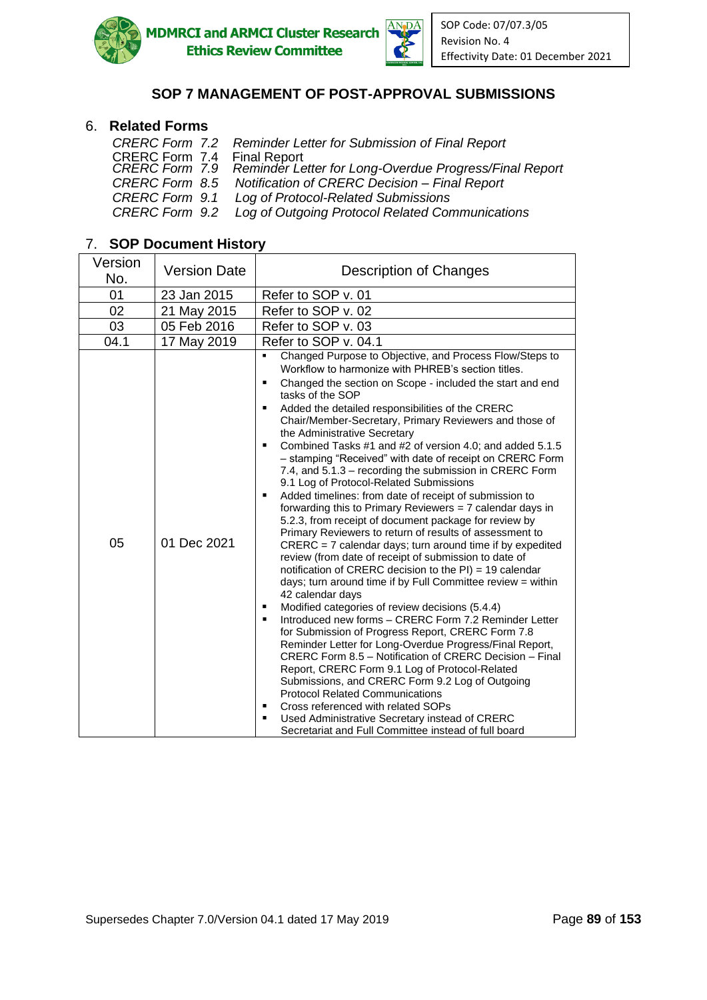



### 6. **Related Forms**

| CRERC Form 7.2 Reminder Letter for Submission of Final Report                                        |
|------------------------------------------------------------------------------------------------------|
|                                                                                                      |
| CRERC Form 7.4 Final Report<br>CRERC Form 7.9 Reminder Letter for Long-Overdue Progress/Final Report |
| CRERC Form 8.5 Notification of CRERC Decision - Final Report                                         |
| CRERC Form 9.1 Log of Protocol-Related Submissions                                                   |
| CRERC Form 9.2 Log of Outgoing Protocol Related Communications                                       |

# 7. **SOP Document History**

| Version<br>No. | <b>Version Date</b> | <b>Description of Changes</b>                                                                                                                                                                                                                                                                                                                                                                                                                                                                                                                                                                                                                                                                                                                                                                                                                                                                                                                                                                                                                                                                                                                                                                                                                                                                                                                                                                                                                                                                                                                                                                                                                                                                                                                                                      |
|----------------|---------------------|------------------------------------------------------------------------------------------------------------------------------------------------------------------------------------------------------------------------------------------------------------------------------------------------------------------------------------------------------------------------------------------------------------------------------------------------------------------------------------------------------------------------------------------------------------------------------------------------------------------------------------------------------------------------------------------------------------------------------------------------------------------------------------------------------------------------------------------------------------------------------------------------------------------------------------------------------------------------------------------------------------------------------------------------------------------------------------------------------------------------------------------------------------------------------------------------------------------------------------------------------------------------------------------------------------------------------------------------------------------------------------------------------------------------------------------------------------------------------------------------------------------------------------------------------------------------------------------------------------------------------------------------------------------------------------------------------------------------------------------------------------------------------------|
| 01             | 23 Jan 2015         | Refer to SOP v. 01                                                                                                                                                                                                                                                                                                                                                                                                                                                                                                                                                                                                                                                                                                                                                                                                                                                                                                                                                                                                                                                                                                                                                                                                                                                                                                                                                                                                                                                                                                                                                                                                                                                                                                                                                                 |
| 02             | 21 May 2015         | Refer to SOP v. 02                                                                                                                                                                                                                                                                                                                                                                                                                                                                                                                                                                                                                                                                                                                                                                                                                                                                                                                                                                                                                                                                                                                                                                                                                                                                                                                                                                                                                                                                                                                                                                                                                                                                                                                                                                 |
| 03             | 05 Feb 2016         | Refer to SOP v. 03                                                                                                                                                                                                                                                                                                                                                                                                                                                                                                                                                                                                                                                                                                                                                                                                                                                                                                                                                                                                                                                                                                                                                                                                                                                                                                                                                                                                                                                                                                                                                                                                                                                                                                                                                                 |
| 04.1           | 17 May 2019         | Refer to SOP v. 04.1                                                                                                                                                                                                                                                                                                                                                                                                                                                                                                                                                                                                                                                                                                                                                                                                                                                                                                                                                                                                                                                                                                                                                                                                                                                                                                                                                                                                                                                                                                                                                                                                                                                                                                                                                               |
| 05             | 01 Dec 2021         | Changed Purpose to Objective, and Process Flow/Steps to<br>Workflow to harmonize with PHREB's section titles.<br>Changed the section on Scope - included the start and end<br>$\blacksquare$<br>tasks of the SOP<br>Added the detailed responsibilities of the CRERC<br>$\blacksquare$<br>Chair/Member-Secretary, Primary Reviewers and those of<br>the Administrative Secretary<br>Combined Tasks #1 and #2 of version 4.0; and added 5.1.5<br>$\blacksquare$<br>- stamping "Received" with date of receipt on CRERC Form<br>7.4, and 5.1.3 - recording the submission in CRERC Form<br>9.1 Log of Protocol-Related Submissions<br>Added timelines: from date of receipt of submission to<br>$\blacksquare$<br>forwarding this to Primary Reviewers $= 7$ calendar days in<br>5.2.3, from receipt of document package for review by<br>Primary Reviewers to return of results of assessment to<br>CRERC = 7 calendar days; turn around time if by expedited<br>review (from date of receipt of submission to date of<br>notification of CRERC decision to the $PI$ ) = 19 calendar<br>days; turn around time if by Full Committee review $=$ within<br>42 calendar days<br>Modified categories of review decisions (5.4.4)<br>٠<br>Introduced new forms - CRERC Form 7.2 Reminder Letter<br>٠<br>for Submission of Progress Report, CRERC Form 7.8<br>Reminder Letter for Long-Overdue Progress/Final Report,<br>CRERC Form 8.5 - Notification of CRERC Decision - Final<br>Report, CRERC Form 9.1 Log of Protocol-Related<br>Submissions, and CRERC Form 9.2 Log of Outgoing<br><b>Protocol Related Communications</b><br>Cross referenced with related SOPs<br>٠<br>Used Administrative Secretary instead of CRERC<br>٠<br>Secretariat and Full Committee instead of full board |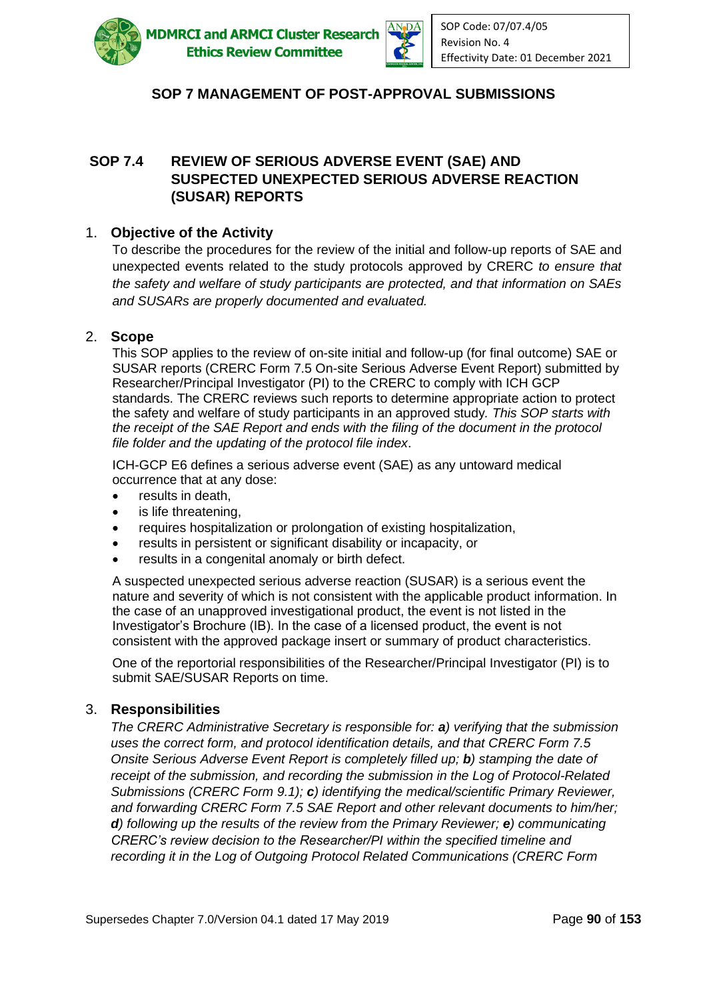

**MDMRCI and ARMCI Cluster Research Ethics Review Committee** 



# **SOP 7 MANAGEMENT OF POST-APPROVAL SUBMISSIONS**

### **SOP 7.4 REVIEW OF SERIOUS ADVERSE EVENT (SAE) AND SUSPECTED UNEXPECTED SERIOUS ADVERSE REACTION (SUSAR) REPORTS**

#### 1. **Objective of the Activity**

To describe the procedures for the review of the initial and follow-up reports of SAE and unexpected events related to the study protocols approved by CRERC *to ensure that the safety and welfare of study participants are protected, and that information on SAEs and SUSARs are properly documented and evaluated.*

#### 2. **Scope**

This SOP applies to the review of on-site initial and follow-up (for final outcome) SAE or SUSAR reports (CRERC Form 7.5 On-site Serious Adverse Event Report) submitted by Researcher/Principal Investigator (PI) to the CRERC to comply with ICH GCP standards. The CRERC reviews such reports to determine appropriate action to protect the safety and welfare of study participants in an approved study*. This SOP starts with the receipt of the SAE Report and ends with the filing of the document in the protocol file folder and the updating of the protocol file index*.

ICH-GCP E6 defines a serious adverse event (SAE) as any untoward medical occurrence that at any dose:

- results in death,
- is life threatening,
- requires hospitalization or prolongation of existing hospitalization,
- results in persistent or significant disability or incapacity, or
- results in a congenital anomaly or birth defect.

A suspected unexpected serious adverse reaction (SUSAR) is a serious event the nature and severity of which is not consistent with the applicable product information. In the case of an unapproved investigational product, the event is not listed in the Investigator's Brochure (IB). In the case of a licensed product, the event is not consistent with the approved package insert or summary of product characteristics.

One of the reportorial responsibilities of the Researcher/Principal Investigator (PI) is to submit SAE/SUSAR Reports on time.

#### 3. **Responsibilities**

*The CRERC Administrative Secretary is responsible for: a) verifying that the submission uses the correct form, and protocol identification details, and that CRERC Form 7.5 Onsite Serious Adverse Event Report is completely filled up; b) stamping the date of receipt of the submission, and recording the submission in the Log of Protocol-Related Submissions (CRERC Form 9.1); c) identifying the medical/scientific Primary Reviewer, and forwarding CRERC Form 7.5 SAE Report and other relevant documents to him/her; d) following up the results of the review from the Primary Reviewer; e) communicating CRERC's review decision to the Researcher/PI within the specified timeline and recording it in the Log of Outgoing Protocol Related Communications (CRERC Form*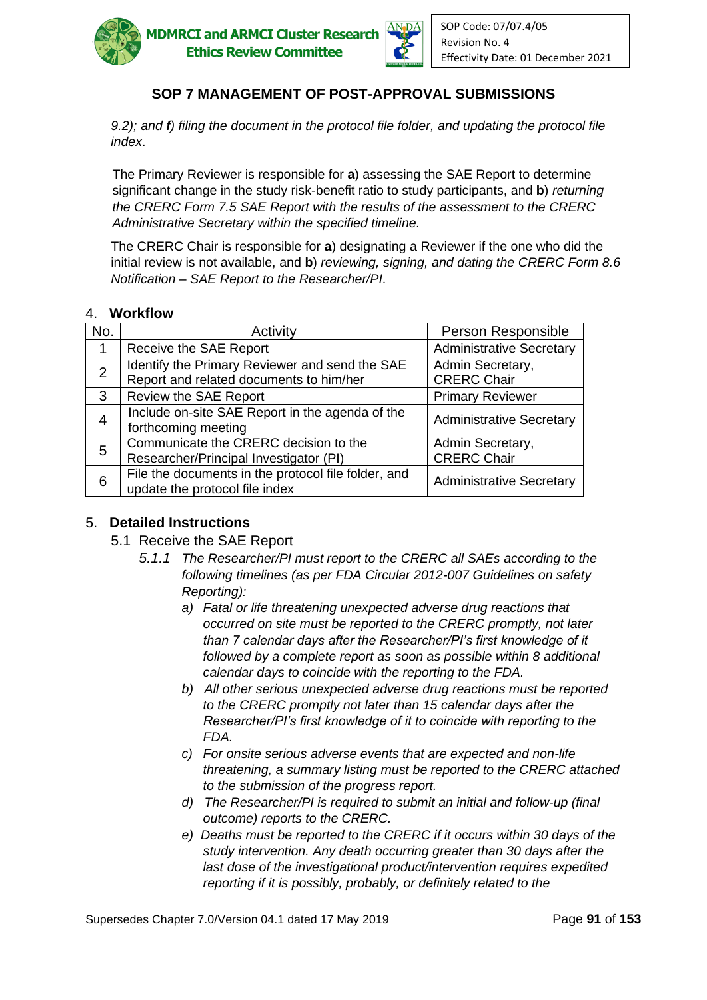



*9.2); and f) filing the document in the protocol file folder, and updating the protocol file index*.

The Primary Reviewer is responsible for **a**) assessing the SAE Report to determine significant change in the study risk-benefit ratio to study participants, and **b**) *returning the CRERC Form 7.5 SAE Report with the results of the assessment to the CRERC Administrative Secretary within the specified timeline.*

The CRERC Chair is responsible for **a**) designating a Reviewer if the one who did the initial review is not available, and **b**) *reviewing, signing, and dating the CRERC Form 8.6 Notification – SAE Report to the Researcher/PI*.

### 4. **Workflow**

| No.            | Activity                                                                                  | Person Responsible                     |
|----------------|-------------------------------------------------------------------------------------------|----------------------------------------|
|                | Receive the SAE Report                                                                    | <b>Administrative Secretary</b>        |
| $\overline{2}$ | Identify the Primary Reviewer and send the SAE<br>Report and related documents to him/her | Admin Secretary,<br><b>CRERC Chair</b> |
| 3              | <b>Review the SAE Report</b>                                                              | <b>Primary Reviewer</b>                |
| $\overline{4}$ | Include on-site SAE Report in the agenda of the<br>forthcoming meeting                    | <b>Administrative Secretary</b>        |
| 5              | Communicate the CRERC decision to the<br>Researcher/Principal Investigator (PI)           | Admin Secretary,<br><b>CRERC Chair</b> |
| 6              | File the documents in the protocol file folder, and<br>update the protocol file index     | <b>Administrative Secretary</b>        |

#### 5. **Detailed Instructions**

- 5.1 Receive the SAE Report
	- *5.1.1 The Researcher/PI must report to the CRERC all SAEs according to the following timelines (as per FDA Circular 2012-007 Guidelines on safety Reporting):*
		- *a) Fatal or life threatening unexpected adverse drug reactions that occurred on site must be reported to the CRERC promptly, not later than 7 calendar days after the Researcher/PI's first knowledge of it followed by a complete report as soon as possible within 8 additional calendar days to coincide with the reporting to the FDA.*
		- *b) All other serious unexpected adverse drug reactions must be reported to the CRERC promptly not later than 15 calendar days after the Researcher/PI's first knowledge of it to coincide with reporting to the FDA.*
		- *c) For onsite serious adverse events that are expected and non-life threatening, a summary listing must be reported to the CRERC attached to the submission of the progress report.*
		- *d) The Researcher/PI is required to submit an initial and follow-up (final outcome) reports to the CRERC.*
		- *e) Deaths must be reported to the CRERC if it occurs within 30 days of the study intervention. Any death occurring greater than 30 days after the last dose of the investigational product/intervention requires expedited reporting if it is possibly, probably, or definitely related to the*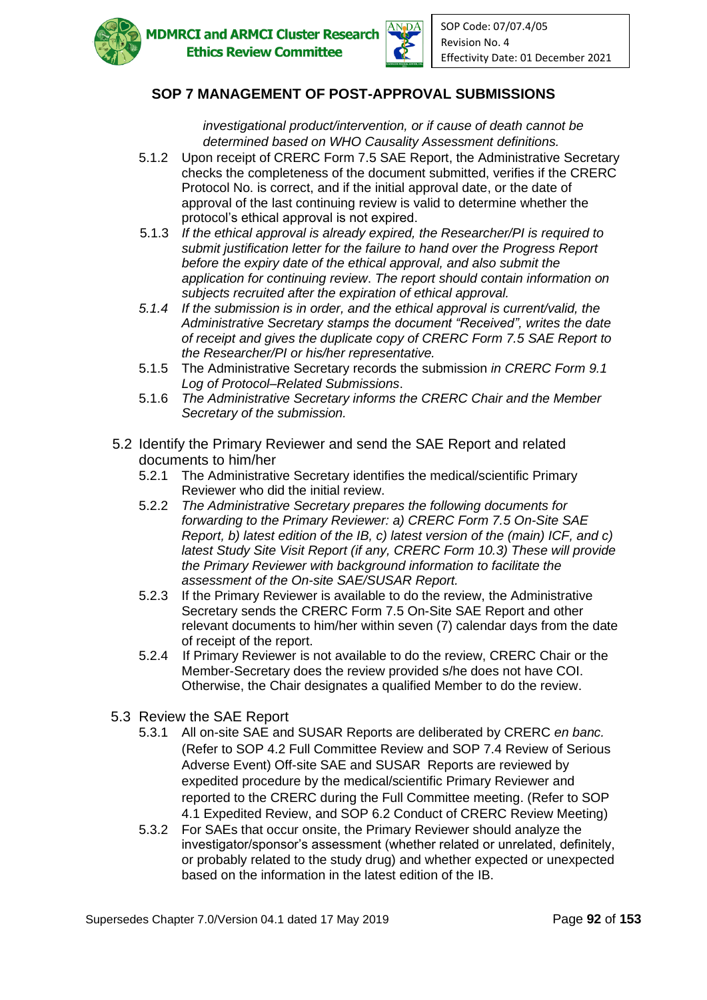



*investigational product/intervention, or if cause of death cannot be determined based on WHO Causality Assessment definitions.*

- 5.1.2 Upon receipt of CRERC Form 7.5 SAE Report, the Administrative Secretary checks the completeness of the document submitted, verifies if the CRERC Protocol No. is correct, and if the initial approval date, or the date of approval of the last continuing review is valid to determine whether the protocol's ethical approval is not expired.
- 5.1.3 *If the ethical approval is already expired, the Researcher/PI is required to submit justification letter for the failure to hand over the Progress Report before the expiry date of the ethical approval, and also submit the application for continuing review*. *The report should contain information on subjects recruited after the expiration of ethical approval.*
- *5.1.4 If the submission is in order, and the ethical approval is current/valid, the Administrative Secretary stamps the document "Received", writes the date of receipt and gives the duplicate copy of CRERC Form 7.5 SAE Report to the Researcher/PI or his/her representative.*
- 5.1.5 The Administrative Secretary records the submission *in CRERC Form 9.1 Log of Protocol–Related Submissions*.
- 5.1.6 *The Administrative Secretary informs the CRERC Chair and the Member Secretary of the submission.*
- 5.2 Identify the Primary Reviewer and send the SAE Report and related documents to him/her
	- 5.2.1 The Administrative Secretary identifies the medical/scientific Primary Reviewer who did the initial review.
	- 5.2.2 *The Administrative Secretary prepares the following documents for forwarding to the Primary Reviewer: a) CRERC Form 7.5 On-Site SAE Report, b) latest edition of the IB, c) latest version of the (main) ICF, and c) latest Study Site Visit Report (if any, CRERC Form 10.3) These will provide the Primary Reviewer with background information to facilitate the assessment of the On-site SAE/SUSAR Report.*
	- 5.2.3 If the Primary Reviewer is available to do the review, the Administrative Secretary sends the CRERC Form 7.5 On-Site SAE Report and other relevant documents to him/her within seven (7) calendar days from the date of receipt of the report.
	- 5.2.4 If Primary Reviewer is not available to do the review, CRERC Chair or the Member-Secretary does the review provided s/he does not have COI. Otherwise, the Chair designates a qualified Member to do the review.
- 5.3 Review the SAE Report
	- 5.3.1 All on-site SAE and SUSAR Reports are deliberated by CRERC *en banc.*  (Refer to SOP 4.2 Full Committee Review and SOP 7.4 Review of Serious Adverse Event) Off-site SAE and SUSAR Reports are reviewed by expedited procedure by the medical/scientific Primary Reviewer and reported to the CRERC during the Full Committee meeting. (Refer to SOP 4.1 Expedited Review, and SOP 6.2 Conduct of CRERC Review Meeting)
	- 5.3.2 For SAEs that occur onsite, the Primary Reviewer should analyze the investigator/sponsor's assessment (whether related or unrelated, definitely, or probably related to the study drug) and whether expected or unexpected based on the information in the latest edition of the IB.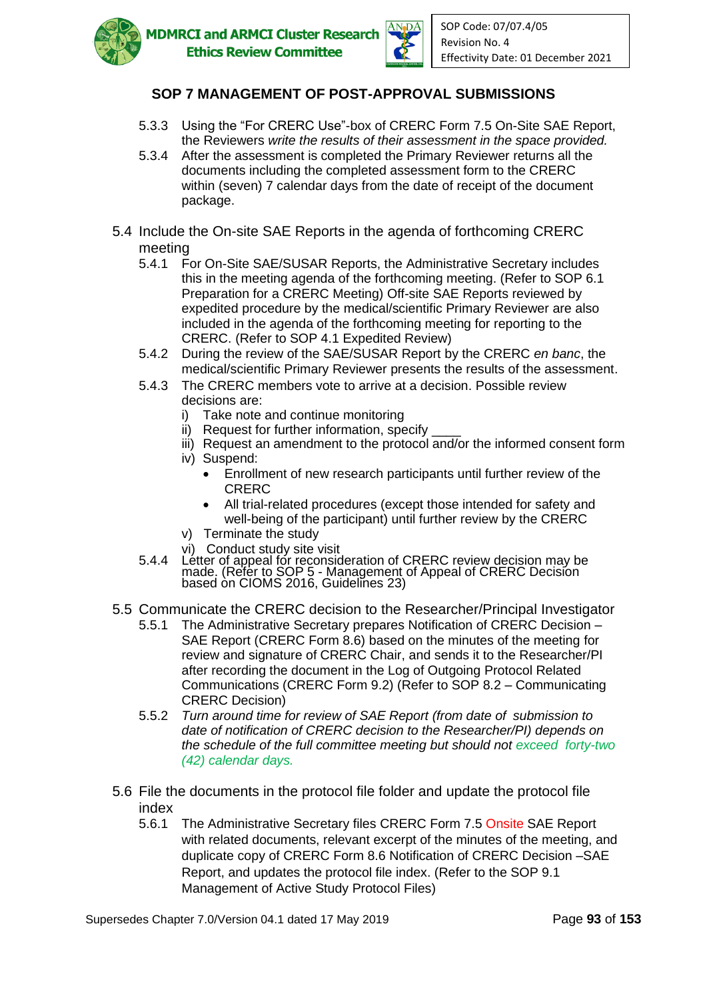



- 5.3.3 Using the "For CRERC Use"-box of CRERC Form 7.5 On-Site SAE Report, the Reviewers *write the results of their assessment in the space provided.*
- 5.3.4 After the assessment is completed the Primary Reviewer returns all the documents including the completed assessment form to the CRERC within (seven) 7 calendar days from the date of receipt of the document package.
- 5.4 Include the On-site SAE Reports in the agenda of forthcoming CRERC meeting
	- 5.4.1 For On-Site SAE/SUSAR Reports, the Administrative Secretary includes this in the meeting agenda of the forthcoming meeting. (Refer to SOP 6.1 Preparation for a CRERC Meeting) Off-site SAE Reports reviewed by expedited procedure by the medical/scientific Primary Reviewer are also included in the agenda of the forthcoming meeting for reporting to the CRERC. (Refer to SOP 4.1 Expedited Review)
	- 5.4.2 During the review of the SAE/SUSAR Report by the CRERC *en banc*, the medical/scientific Primary Reviewer presents the results of the assessment.
	- 5.4.3 The CRERC members vote to arrive at a decision. Possible review decisions are:
		- i) Take note and continue monitoring
		- ii) Request for further information, specify
		- iii) Request an amendment to the protocol and/or the informed consent form
		- iv) Suspend:
			- Enrollment of new research participants until further review of the CRERC
			- All trial-related procedures (except those intended for safety and well-being of the participant) until further review by the CRERC
		- v) Terminate the study
		- vi) Conduct study site visit
	- 5.4.4 Letter of appeal for reconsideration of CRERC review decision may be made. (Refer to SOP 5 - Management of Appeal of CRERC Decision based òn CIOMS 2016, Guidelĭnes 23)
- 5.5 Communicate the CRERC decision to the Researcher/Principal Investigator
	- 5.5.1 The Administrative Secretary prepares Notification of CRERC Decision SAE Report (CRERC Form 8.6) based on the minutes of the meeting for review and signature of CRERC Chair, and sends it to the Researcher/PI after recording the document in the Log of Outgoing Protocol Related Communications (CRERC Form 9.2) (Refer to SOP 8.2 – Communicating CRERC Decision)
	- 5.5.2 *Turn around time for review of SAE Report (from date of submission to date of notification of CRERC decision to the Researcher/PI) depends on the schedule of the full committee meeting but should not exceed forty-two (42) calendar days.*
- 5.6 File the documents in the protocol file folder and update the protocol file index
	- 5.6.1 The Administrative Secretary files CRERC Form 7.5 Onsite SAE Report with related documents, relevant excerpt of the minutes of the meeting, and duplicate copy of CRERC Form 8.6 Notification of CRERC Decision –SAE Report, and updates the protocol file index. (Refer to the SOP 9.1 Management of Active Study Protocol Files)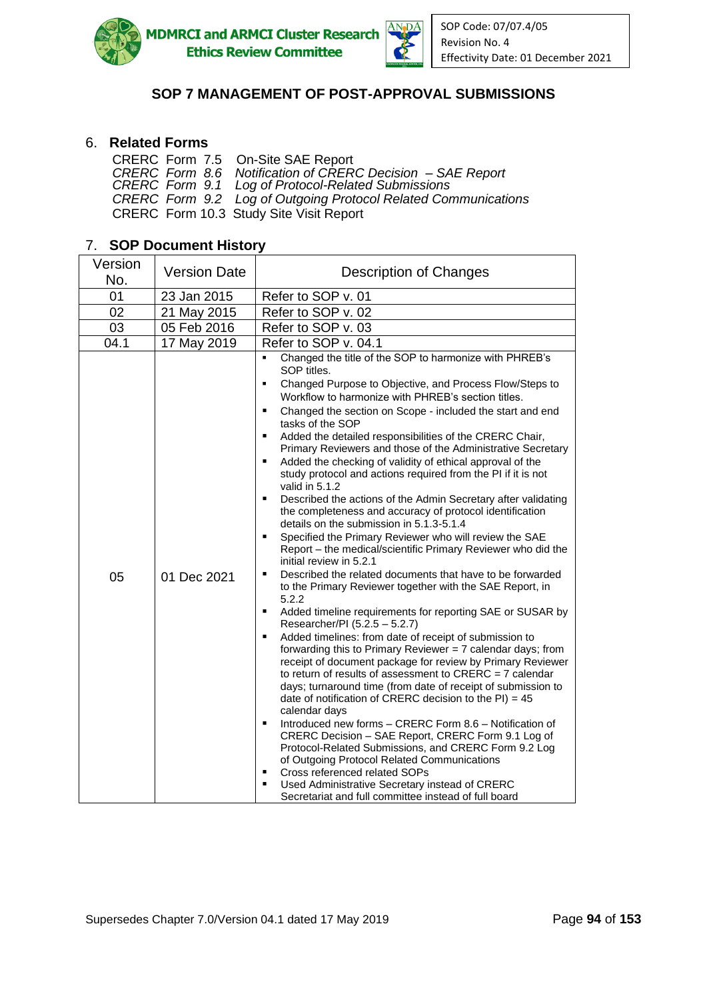

**MDMRCI and ARMCI Cluster Research Ethics Review Committee** 



# **SOP 7 MANAGEMENT OF POST-APPROVAL SUBMISSIONS**

### 6. **Related Forms**

| CRERC Form 7.5 On-Site SAE Report                              |
|----------------------------------------------------------------|
| CRERC Form 8.6 Notification of CRERC Decision - SAE Report     |
| CRERC Form 9.1 Log of Protocol-Related Submissions             |
| CRERC Form 9.2 Log of Outgoing Protocol Related Communications |
| CRERC Form 10.3 Study Site Visit Report                        |

# 7. **SOP Document History**

| Version<br>No. | <b>Version Date</b> | Description of Changes                                                                                                                                                                                                                                                                                                                                                                                                                                                                                                                                                                                                                                                                                                                                                                                                                                                                                                                                                                                                                                                                                                                                                                                                                                                                                                                                                                                                                                                                                                                                                                                                                                                                                                                                                                                                                                                                                                                                                                                                                                |
|----------------|---------------------|-------------------------------------------------------------------------------------------------------------------------------------------------------------------------------------------------------------------------------------------------------------------------------------------------------------------------------------------------------------------------------------------------------------------------------------------------------------------------------------------------------------------------------------------------------------------------------------------------------------------------------------------------------------------------------------------------------------------------------------------------------------------------------------------------------------------------------------------------------------------------------------------------------------------------------------------------------------------------------------------------------------------------------------------------------------------------------------------------------------------------------------------------------------------------------------------------------------------------------------------------------------------------------------------------------------------------------------------------------------------------------------------------------------------------------------------------------------------------------------------------------------------------------------------------------------------------------------------------------------------------------------------------------------------------------------------------------------------------------------------------------------------------------------------------------------------------------------------------------------------------------------------------------------------------------------------------------------------------------------------------------------------------------------------------------|
| 01             | 23 Jan 2015         | Refer to SOP v. 01                                                                                                                                                                                                                                                                                                                                                                                                                                                                                                                                                                                                                                                                                                                                                                                                                                                                                                                                                                                                                                                                                                                                                                                                                                                                                                                                                                                                                                                                                                                                                                                                                                                                                                                                                                                                                                                                                                                                                                                                                                    |
| 02             | 21 May 2015         | Refer to SOP v. 02                                                                                                                                                                                                                                                                                                                                                                                                                                                                                                                                                                                                                                                                                                                                                                                                                                                                                                                                                                                                                                                                                                                                                                                                                                                                                                                                                                                                                                                                                                                                                                                                                                                                                                                                                                                                                                                                                                                                                                                                                                    |
| 03             | 05 Feb 2016         | Refer to SOP v. 03                                                                                                                                                                                                                                                                                                                                                                                                                                                                                                                                                                                                                                                                                                                                                                                                                                                                                                                                                                                                                                                                                                                                                                                                                                                                                                                                                                                                                                                                                                                                                                                                                                                                                                                                                                                                                                                                                                                                                                                                                                    |
| 04.1           | 17 May 2019         | Refer to SOP v. 04.1                                                                                                                                                                                                                                                                                                                                                                                                                                                                                                                                                                                                                                                                                                                                                                                                                                                                                                                                                                                                                                                                                                                                                                                                                                                                                                                                                                                                                                                                                                                                                                                                                                                                                                                                                                                                                                                                                                                                                                                                                                  |
| 05             | 01 Dec 2021         | Changed the title of the SOP to harmonize with PHREB's<br>SOP titles.<br>Changed Purpose to Objective, and Process Flow/Steps to<br>$\blacksquare$<br>Workflow to harmonize with PHREB's section titles.<br>Changed the section on Scope - included the start and end<br>٠<br>tasks of the SOP<br>$\blacksquare$<br>Added the detailed responsibilities of the CRERC Chair,<br>Primary Reviewers and those of the Administrative Secretary<br>Added the checking of validity of ethical approval of the<br>$\blacksquare$<br>study protocol and actions required from the PI if it is not<br>valid in 5.1.2<br>Described the actions of the Admin Secretary after validating<br>$\blacksquare$<br>the completeness and accuracy of protocol identification<br>details on the submission in 5.1.3-5.1.4<br>Specified the Primary Reviewer who will review the SAE<br>$\blacksquare$<br>Report - the medical/scientific Primary Reviewer who did the<br>initial review in 5.2.1<br>Described the related documents that have to be forwarded<br>$\blacksquare$<br>to the Primary Reviewer together with the SAE Report, in<br>5.2.2<br>Added timeline requirements for reporting SAE or SUSAR by<br>٠<br>Researcher/PI (5.2.5 - 5.2.7)<br>Added timelines: from date of receipt of submission to<br>forwarding this to Primary Reviewer $= 7$ calendar days; from<br>receipt of document package for review by Primary Reviewer<br>to return of results of assessment to CRERC = $7$ calendar<br>days; turnaround time (from date of receipt of submission to<br>date of notification of CRERC decision to the $PI$ ) = 45<br>calendar days<br>Introduced new forms – CRERC Form 8.6 – Notification of<br>$\blacksquare$<br>CRERC Decision - SAE Report, CRERC Form 9.1 Log of<br>Protocol-Related Submissions, and CRERC Form 9.2 Log<br>of Outgoing Protocol Related Communications<br>Cross referenced related SOPs<br>$\blacksquare$<br>Used Administrative Secretary instead of CRERC<br>٠<br>Secretariat and full committee instead of full board |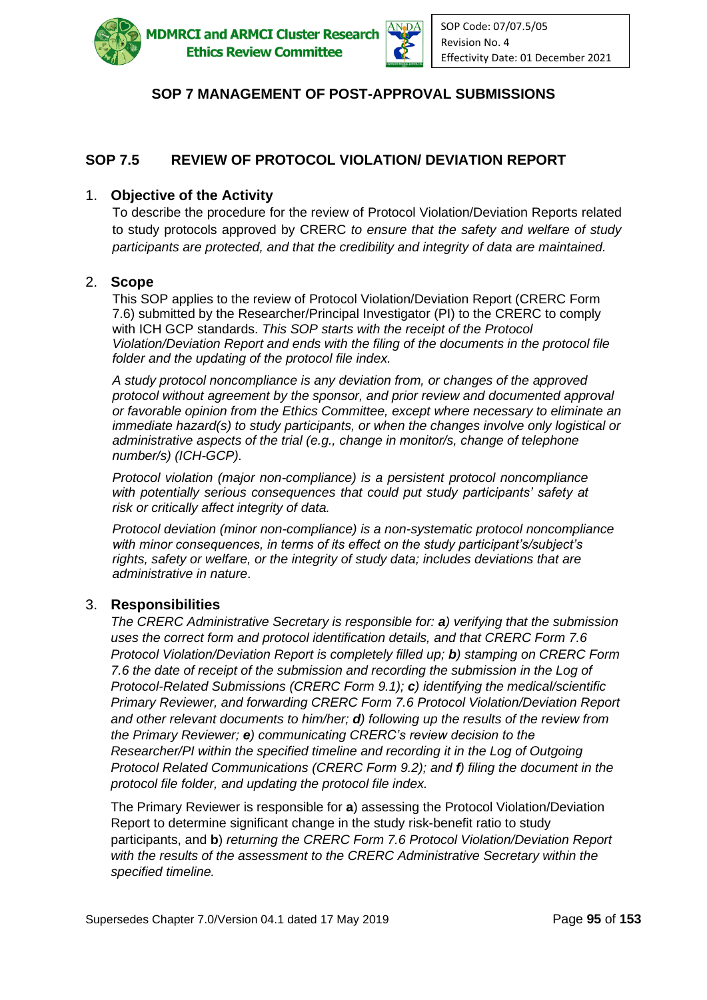

**MDMRCI and ARMCI Cluster Research Ethics Review Committee** 



# **SOP 7 MANAGEMENT OF POST-APPROVAL SUBMISSIONS**

# **SOP 7.5 REVIEW OF PROTOCOL VIOLATION/ DEVIATION REPORT**

#### 1. **Objective of the Activity**

To describe the procedure for the review of Protocol Violation/Deviation Reports related to study protocols approved by CRERC *to ensure that the safety and welfare of study participants are protected, and that the credibility and integrity of data are maintained.*

#### 2. **Scope**

This SOP applies to the review of Protocol Violation/Deviation Report (CRERC Form 7.6) submitted by the Researcher/Principal Investigator (PI) to the CRERC to comply with ICH GCP standards. *This SOP starts with the receipt of the Protocol Violation/Deviation Report and ends with the filing of the documents in the protocol file folder and the updating of the protocol file index.*

*A study protocol noncompliance is any deviation from, or changes of the approved protocol without agreement by the sponsor, and prior review and documented approval or favorable opinion from the Ethics Committee, except where necessary to eliminate an immediate hazard(s) to study participants, or when the changes involve only logistical or administrative aspects of the trial (e.g., change in monitor/s, change of telephone number/s) (ICH-GCP).* 

*Protocol violation (major non-compliance) is a persistent protocol noncompliance*  with potentially serious consequences that could put study participants' safety at *risk or critically affect integrity of data.*

*Protocol deviation (minor non-compliance) is a non-systematic protocol noncompliance with minor consequences, in terms of its effect on the study participant's/subject's rights, safety or welfare, or the integrity of study data; includes deviations that are administrative in nature*.

#### 3. **Responsibilities**

*The CRERC Administrative Secretary is responsible for: a) verifying that the submission uses the correct form and protocol identification details, and that CRERC Form 7.6 Protocol Violation/Deviation Report is completely filled up; b) stamping on CRERC Form 7.6 the date of receipt of the submission and recording the submission in the Log of Protocol-Related Submissions (CRERC Form 9.1); c) identifying the medical/scientific Primary Reviewer, and forwarding CRERC Form 7.6 Protocol Violation/Deviation Report and other relevant documents to him/her; d) following up the results of the review from the Primary Reviewer; e) communicating CRERC's review decision to the Researcher/PI within the specified timeline and recording it in the Log of Outgoing Protocol Related Communications (CRERC Form 9.2); and f) filing the document in the protocol file folder, and updating the protocol file index.* 

The Primary Reviewer is responsible for **a**) assessing the Protocol Violation/Deviation Report to determine significant change in the study risk-benefit ratio to study participants, and **b**) *returning the CRERC Form 7.6 Protocol Violation/Deviation Report with the results of the assessment to the CRERC Administrative Secretary within the specified timeline.*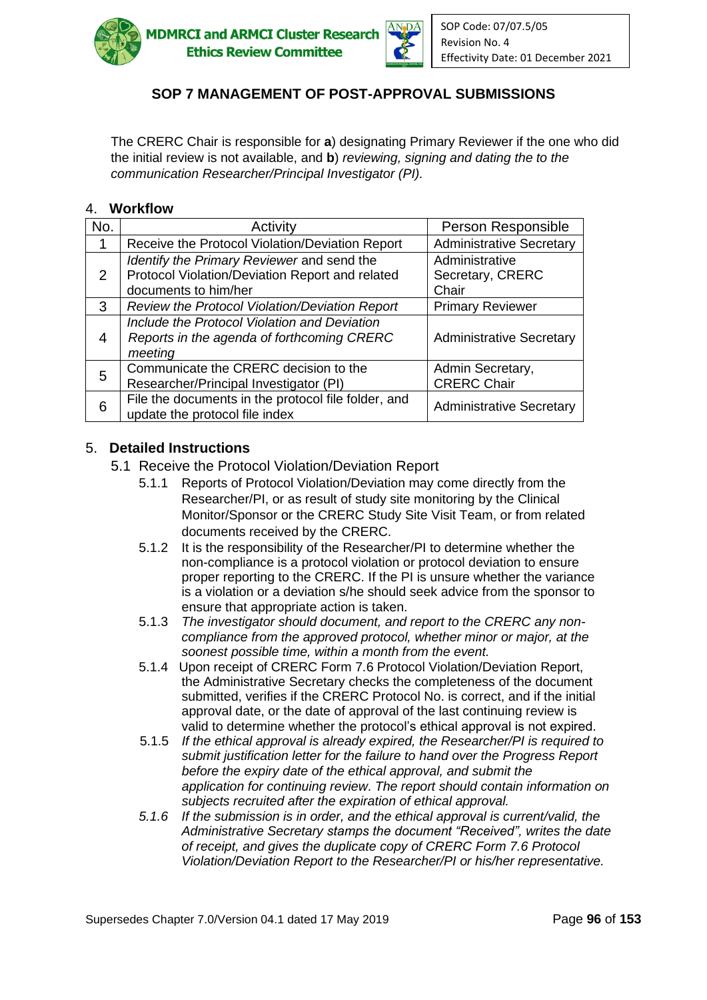



The CRERC Chair is responsible for **a**) designating Primary Reviewer if the one who did the initial review is not available, and **b**) *reviewing, signing and dating the to the communication Researcher/Principal Investigator (PI).*

#### 4. **Workflow**

| No. | Activity                                                                                                              | Person Responsible                          |
|-----|-----------------------------------------------------------------------------------------------------------------------|---------------------------------------------|
|     | Receive the Protocol Violation/Deviation Report                                                                       | <b>Administrative Secretary</b>             |
| 2   | Identify the Primary Reviewer and send the<br>Protocol Violation/Deviation Report and related<br>documents to him/her | Administrative<br>Secretary, CRERC<br>Chair |
| 3   | Review the Protocol Violation/Deviation Report                                                                        | <b>Primary Reviewer</b>                     |
| 4   | Include the Protocol Violation and Deviation<br>Reports in the agenda of forthcoming CRERC<br>meeting                 | <b>Administrative Secretary</b>             |
| 5   | Communicate the CRERC decision to the<br>Researcher/Principal Investigator (PI)                                       | Admin Secretary,<br><b>CRERC Chair</b>      |
| 6   | File the documents in the protocol file folder, and<br>update the protocol file index                                 | <b>Administrative Secretary</b>             |

#### 5. **Detailed Instructions**

- 5.1 Receive the Protocol Violation/Deviation Report
	- 5.1.1 Reports of Protocol Violation/Deviation may come directly from the Researcher/PI, or as result of study site monitoring by the Clinical Monitor/Sponsor or the CRERC Study Site Visit Team, or from related documents received by the CRERC.
	- 5.1.2 It is the responsibility of the Researcher/PI to determine whether the non-compliance is a protocol violation or protocol deviation to ensure proper reporting to the CRERC. If the PI is unsure whether the variance is a violation or a deviation s/he should seek advice from the sponsor to ensure that appropriate action is taken.
	- 5.1.3 *The investigator should document, and report to the CRERC any noncompliance from the approved protocol, whether minor or major, at the soonest possible time, within a month from the event.*
	- 5.1.4 Upon receipt of CRERC Form 7.6 Protocol Violation/Deviation Report, the Administrative Secretary checks the completeness of the document submitted, verifies if the CRERC Protocol No. is correct, and if the initial approval date, or the date of approval of the last continuing review is valid to determine whether the protocol's ethical approval is not expired.
	- 5.1.5 *If the ethical approval is already expired, the Researcher/PI is required to submit justification letter for the failure to hand over the Progress Report before the expiry date of the ethical approval, and submit the application for continuing review*. *The report should contain information on subjects recruited after the expiration of ethical approval.*
	- *5.1.6 If the submission is in order, and the ethical approval is current/valid, the Administrative Secretary stamps the document "Received", writes the date of receipt, and gives the duplicate copy of CRERC Form 7.6 Protocol Violation/Deviation Report to the Researcher/PI or his/her representative.*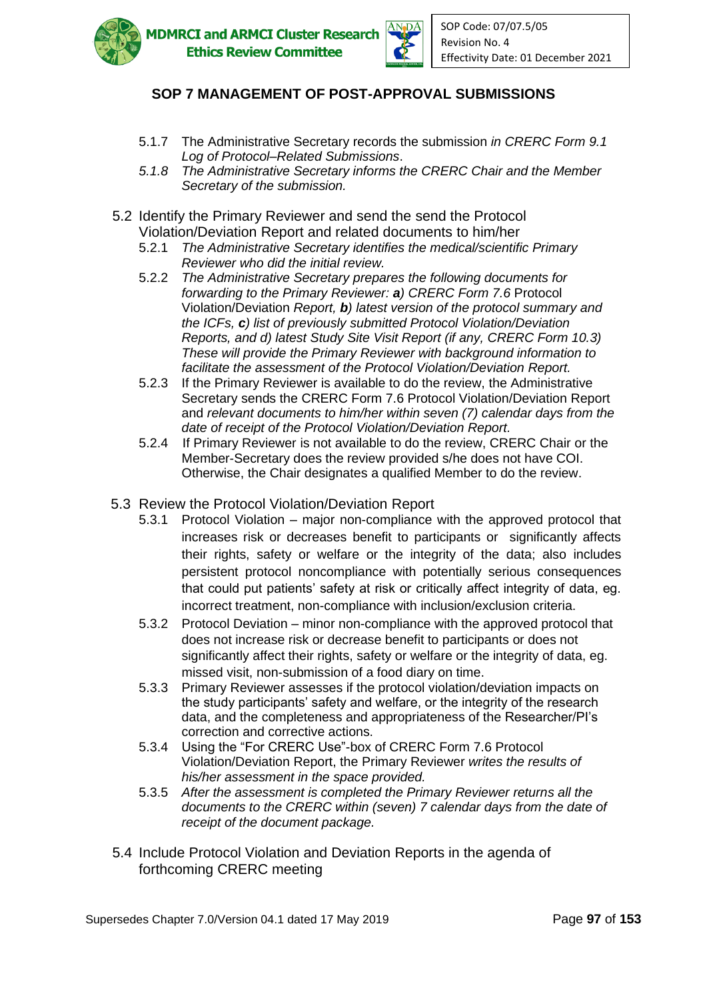

**MDMRCI and ARMCI Cluster Research Ethics Review Committee** 



# **SOP 7 MANAGEMENT OF POST-APPROVAL SUBMISSIONS**

- 5.1.7 The Administrative Secretary records the submission *in CRERC Form 9.1 Log of Protocol–Related Submissions*.
- *5.1.8 The Administrative Secretary informs the CRERC Chair and the Member Secretary of the submission.*
- 5.2 Identify the Primary Reviewer and send the send the Protocol Violation/Deviation Report and related documents to him/her
	- 5.2.1 *The Administrative Secretary identifies the medical/scientific Primary Reviewer who did the initial review.*
	- 5.2.2 *The Administrative Secretary prepares the following documents for forwarding to the Primary Reviewer: a) CRERC Form 7.6* Protocol Violation/Deviation *Report, b) latest version of the protocol summary and the ICFs, c) list of previously submitted Protocol Violation/Deviation Reports, and d) latest Study Site Visit Report (if any, CRERC Form 10.3) These will provide the Primary Reviewer with background information to facilitate the assessment of the Protocol Violation/Deviation Report.*
	- 5.2.3 If the Primary Reviewer is available to do the review, the Administrative Secretary sends the CRERC Form 7.6 Protocol Violation/Deviation Report and *relevant documents to him/her within seven (7) calendar days from the date of receipt of the Protocol Violation/Deviation Report.*
	- 5.2.4 If Primary Reviewer is not available to do the review, CRERC Chair or the Member-Secretary does the review provided s/he does not have COI. Otherwise, the Chair designates a qualified Member to do the review.
- 5.3 Review the Protocol Violation/Deviation Report
	- 5.3.1 Protocol Violation major non-compliance with the approved protocol that increases risk or decreases benefit to participants or significantly affects their rights, safety or welfare or the integrity of the data; also includes persistent protocol noncompliance with potentially serious consequences that could put patients' safety at risk or critically affect integrity of data, eg. incorrect treatment, non-compliance with inclusion/exclusion criteria.
	- 5.3.2 Protocol Deviation minor non-compliance with the approved protocol that does not increase risk or decrease benefit to participants or does not significantly affect their rights, safety or welfare or the integrity of data, eg. missed visit, non-submission of a food diary on time.
	- 5.3.3 Primary Reviewer assesses if the protocol violation/deviation impacts on the study participants' safety and welfare, or the integrity of the research data, and the completeness and appropriateness of the Researcher/PI's correction and corrective actions.
	- 5.3.4 Using the "For CRERC Use"-box of CRERC Form 7.6 Protocol Violation/Deviation Report, the Primary Reviewer *writes the results of his/her assessment in the space provided.*
	- 5.3.5 *After the assessment is completed the Primary Reviewer returns all the documents to the CRERC within (seven) 7 calendar days from the date of receipt of the document package.*
- 5.4 Include Protocol Violation and Deviation Reports in the agenda of forthcoming CRERC meeting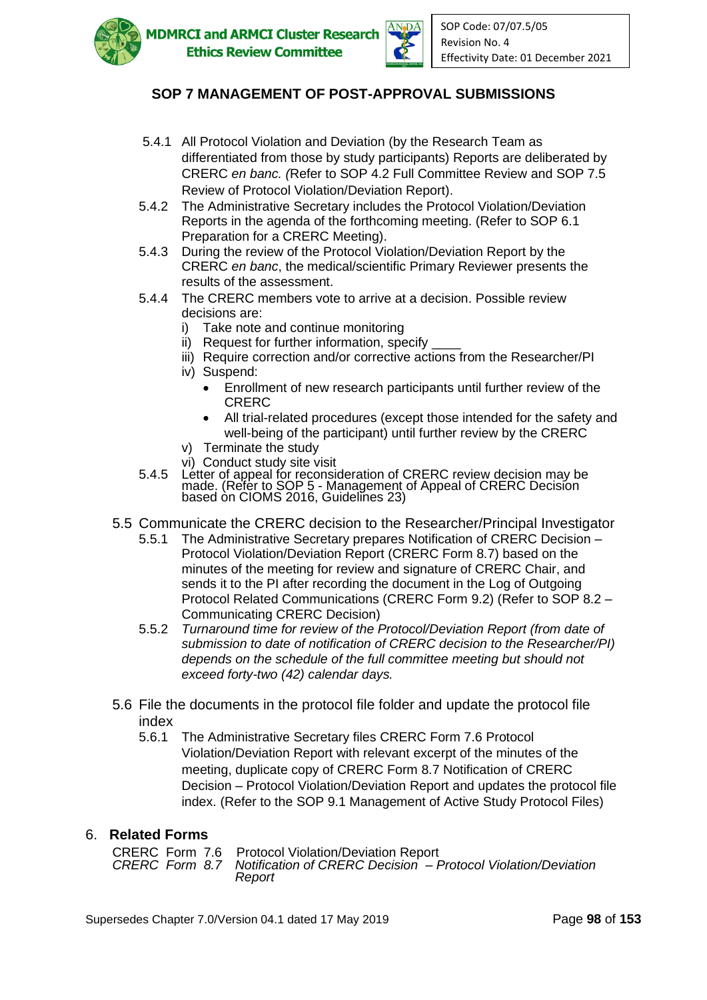



- 5.4.1 All Protocol Violation and Deviation (by the Research Team as differentiated from those by study participants) Reports are deliberated by CRERC *en banc. (*Refer to SOP 4.2 Full Committee Review and SOP 7.5 Review of Protocol Violation/Deviation Report).
- 5.4.2 The Administrative Secretary includes the Protocol Violation/Deviation Reports in the agenda of the forthcoming meeting. (Refer to SOP 6.1 Preparation for a CRERC Meeting).
- 5.4.3 During the review of the Protocol Violation/Deviation Report by the CRERC *en banc*, the medical/scientific Primary Reviewer presents the results of the assessment.
- 5.4.4 The CRERC members vote to arrive at a decision. Possible review decisions are:
	- i) Take note and continue monitoring
	- ii) Request for further information, specify
	- iii) Require correction and/or corrective actions from the Researcher/PI
	- iv) Suspend:
		- Enrollment of new research participants until further review of the CRERC
		- All trial-related procedures (except those intended for the safety and well-being of the participant) until further review by the CRERC
	- v) Terminate the study
	- vi) Conduct study site visit
- 5.4.5 Letter of appeal for reconsideration of CRERC review decision may be made. (Refer to SOP 5 - Management of Appeal of CRERC Decision based òn CIOMS 2016, Guidelĭnes 23)
- 5.5 Communicate the CRERC decision to the Researcher/Principal Investigator
	- 5.5.1 The Administrative Secretary prepares Notification of CRERC Decision Protocol Violation/Deviation Report (CRERC Form 8.7) based on the minutes of the meeting for review and signature of CRERC Chair, and sends it to the PI after recording the document in the Log of Outgoing Protocol Related Communications (CRERC Form 9.2) (Refer to SOP 8.2 – Communicating CRERC Decision)
	- 5.5.2 *Turnaround time for review of the Protocol/Deviation Report (from date of submission to date of notification of CRERC decision to the Researcher/PI) depends on the schedule of the full committee meeting but should not exceed forty-two (42) calendar days.*
- 5.6 File the documents in the protocol file folder and update the protocol file index
	- 5.6.1 The Administrative Secretary files CRERC Form 7.6 Protocol Violation/Deviation Report with relevant excerpt of the minutes of the meeting, duplicate copy of CRERC Form 8.7 Notification of CRERC Decision – Protocol Violation/Deviation Report and updates the protocol file index. (Refer to the SOP 9.1 Management of Active Study Protocol Files)

#### 6. **Related Forms**

| CRERC Form 7.6 Protocol Violation/Deviation Report                           |
|------------------------------------------------------------------------------|
| CRERC Form 8.7 Notification of CRERC Decision – Protocol Violation/Deviation |
| Report                                                                       |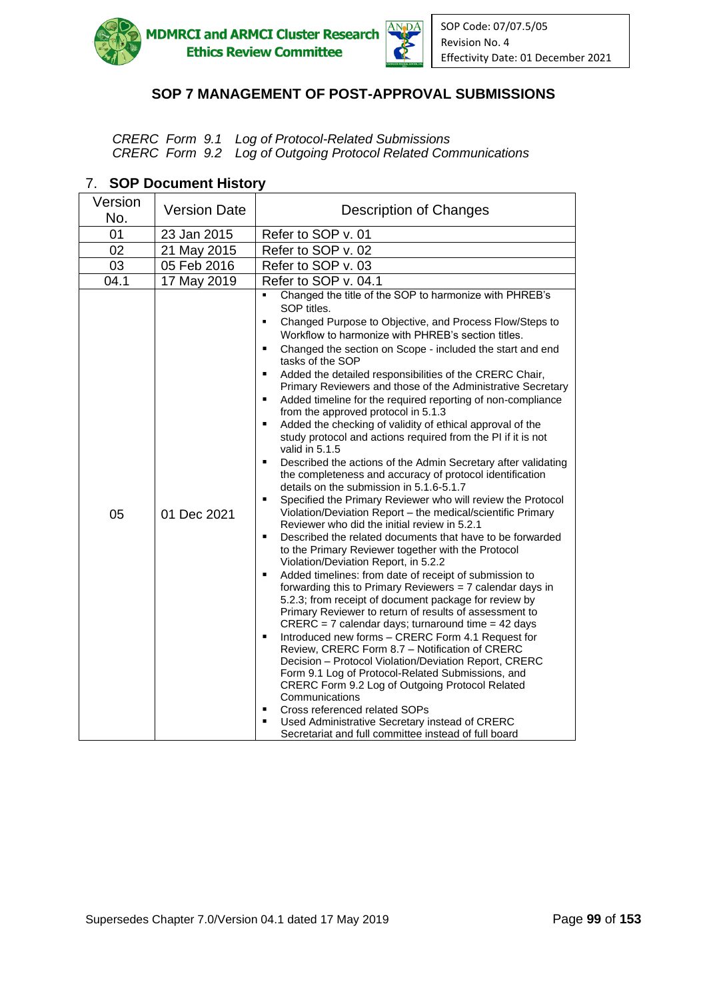



*CRERC Form 9.1 Log of Protocol-Related Submissions CRERC Form 9.2 Log of Outgoing Protocol Related Communications*

| Version<br>No. | <b>Version Date</b> | <b>Description of Changes</b>                                                                                                                                                                                                                                                                                                                                                                                                                                                                                                                                                                                                                                                                                                                                                                                                                                                                                                                                                                                                                                                                                                                                                                                                                                                                                                                                                                                                                                                                                                                                                                                                                                                                                                                                                                                                                                                                                                                                                                                                                        |
|----------------|---------------------|------------------------------------------------------------------------------------------------------------------------------------------------------------------------------------------------------------------------------------------------------------------------------------------------------------------------------------------------------------------------------------------------------------------------------------------------------------------------------------------------------------------------------------------------------------------------------------------------------------------------------------------------------------------------------------------------------------------------------------------------------------------------------------------------------------------------------------------------------------------------------------------------------------------------------------------------------------------------------------------------------------------------------------------------------------------------------------------------------------------------------------------------------------------------------------------------------------------------------------------------------------------------------------------------------------------------------------------------------------------------------------------------------------------------------------------------------------------------------------------------------------------------------------------------------------------------------------------------------------------------------------------------------------------------------------------------------------------------------------------------------------------------------------------------------------------------------------------------------------------------------------------------------------------------------------------------------------------------------------------------------------------------------------------------------|
| 01             | 23 Jan 2015         | Refer to SOP v. 01                                                                                                                                                                                                                                                                                                                                                                                                                                                                                                                                                                                                                                                                                                                                                                                                                                                                                                                                                                                                                                                                                                                                                                                                                                                                                                                                                                                                                                                                                                                                                                                                                                                                                                                                                                                                                                                                                                                                                                                                                                   |
| 02             | 21 May 2015         | Refer to SOP v. 02                                                                                                                                                                                                                                                                                                                                                                                                                                                                                                                                                                                                                                                                                                                                                                                                                                                                                                                                                                                                                                                                                                                                                                                                                                                                                                                                                                                                                                                                                                                                                                                                                                                                                                                                                                                                                                                                                                                                                                                                                                   |
| 03             | 05 Feb 2016         | Refer to SOP v. 03                                                                                                                                                                                                                                                                                                                                                                                                                                                                                                                                                                                                                                                                                                                                                                                                                                                                                                                                                                                                                                                                                                                                                                                                                                                                                                                                                                                                                                                                                                                                                                                                                                                                                                                                                                                                                                                                                                                                                                                                                                   |
| 04.1           | 17 May 2019         | Refer to SOP v. 04.1                                                                                                                                                                                                                                                                                                                                                                                                                                                                                                                                                                                                                                                                                                                                                                                                                                                                                                                                                                                                                                                                                                                                                                                                                                                                                                                                                                                                                                                                                                                                                                                                                                                                                                                                                                                                                                                                                                                                                                                                                                 |
| 05             | 01 Dec 2021         | Changed the title of the SOP to harmonize with PHREB's<br>SOP titles.<br>Changed Purpose to Objective, and Process Flow/Steps to<br>$\blacksquare$<br>Workflow to harmonize with PHREB's section titles.<br>٠<br>Changed the section on Scope - included the start and end<br>tasks of the SOP<br>$\blacksquare$<br>Added the detailed responsibilities of the CRERC Chair,<br>Primary Reviewers and those of the Administrative Secretary<br>Added timeline for the required reporting of non-compliance<br>from the approved protocol in 5.1.3<br>Added the checking of validity of ethical approval of the<br>$\blacksquare$<br>study protocol and actions required from the PI if it is not<br>valid in 5.1.5<br>$\blacksquare$<br>Described the actions of the Admin Secretary after validating<br>the completeness and accuracy of protocol identification<br>details on the submission in 5.1.6-5.1.7<br>Specified the Primary Reviewer who will review the Protocol<br>$\blacksquare$<br>Violation/Deviation Report - the medical/scientific Primary<br>Reviewer who did the initial review in 5.2.1<br>Described the related documents that have to be forwarded<br>$\blacksquare$<br>to the Primary Reviewer together with the Protocol<br>Violation/Deviation Report, in 5.2.2<br>Added timelines: from date of receipt of submission to<br>٠<br>forwarding this to Primary Reviewers = 7 calendar days in<br>5.2.3; from receipt of document package for review by<br>Primary Reviewer to return of results of assessment to<br>$CRERC = 7$ calendar days; turnaround time = 42 days<br>Introduced new forms - CRERC Form 4.1 Request for<br>٠<br>Review, CRERC Form 8.7 - Notification of CRERC<br>Decision - Protocol Violation/Deviation Report, CRERC<br>Form 9.1 Log of Protocol-Related Submissions, and<br>CRERC Form 9.2 Log of Outgoing Protocol Related<br>Communications<br>Cross referenced related SOPs<br>٠<br>Used Administrative Secretary instead of CRERC<br>٠<br>Secretariat and full committee instead of full board |

#### 7. **SOP Document History**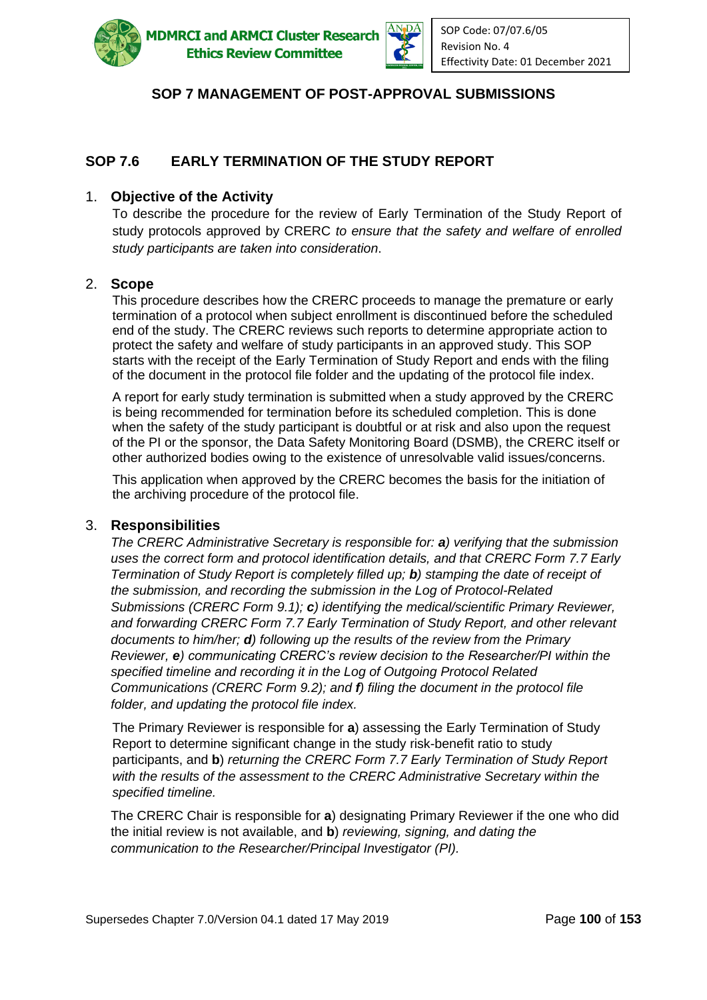

**ADMRCI and ARMCI Cluster Research Ethics Review Committee** 



# **SOP 7 MANAGEMENT OF POST-APPROVAL SUBMISSIONS**

# **SOP 7.6 EARLY TERMINATION OF THE STUDY REPORT**

#### 1. **Objective of the Activity**

To describe the procedure for the review of Early Termination of the Study Report of study protocols approved by CRERC *to ensure that the safety and welfare of enrolled study participants are taken into consideration*.

#### 2. **Scope**

This procedure describes how the CRERC proceeds to manage the premature or early termination of a protocol when subject enrollment is discontinued before the scheduled end of the study. The CRERC reviews such reports to determine appropriate action to protect the safety and welfare of study participants in an approved study. This SOP starts with the receipt of the Early Termination of Study Report and ends with the filing of the document in the protocol file folder and the updating of the protocol file index.

A report for early study termination is submitted when a study approved by the CRERC is being recommended for termination before its scheduled completion. This is done when the safety of the study participant is doubtful or at risk and also upon the request of the PI or the sponsor, the Data Safety Monitoring Board (DSMB), the CRERC itself or other authorized bodies owing to the existence of unresolvable valid issues/concerns.

This application when approved by the CRERC becomes the basis for the initiation of the archiving procedure of the protocol file.

#### 3. **Responsibilities**

*The CRERC Administrative Secretary is responsible for: a) verifying that the submission uses the correct form and protocol identification details, and that CRERC Form 7.7 Early Termination of Study Report is completely filled up; b) stamping the date of receipt of the submission, and recording the submission in the Log of Protocol-Related Submissions (CRERC Form 9.1); c) identifying the medical/scientific Primary Reviewer, and forwarding CRERC Form 7.7 Early Termination of Study Report, and other relevant documents to him/her; d) following up the results of the review from the Primary Reviewer, e) communicating CRERC's review decision to the Researcher/PI within the specified timeline and recording it in the Log of Outgoing Protocol Related Communications (CRERC Form 9.2); and f) filing the document in the protocol file folder, and updating the protocol file index.* 

The Primary Reviewer is responsible for **a**) assessing the Early Termination of Study Report to determine significant change in the study risk-benefit ratio to study participants, and **b**) *returning the CRERC Form 7.7 Early Termination of Study Report with the results of the assessment to the CRERC Administrative Secretary within the specified timeline.*

The CRERC Chair is responsible for **a**) designating Primary Reviewer if the one who did the initial review is not available, and **b**) *reviewing, signing, and dating the communication to the Researcher/Principal Investigator (PI).*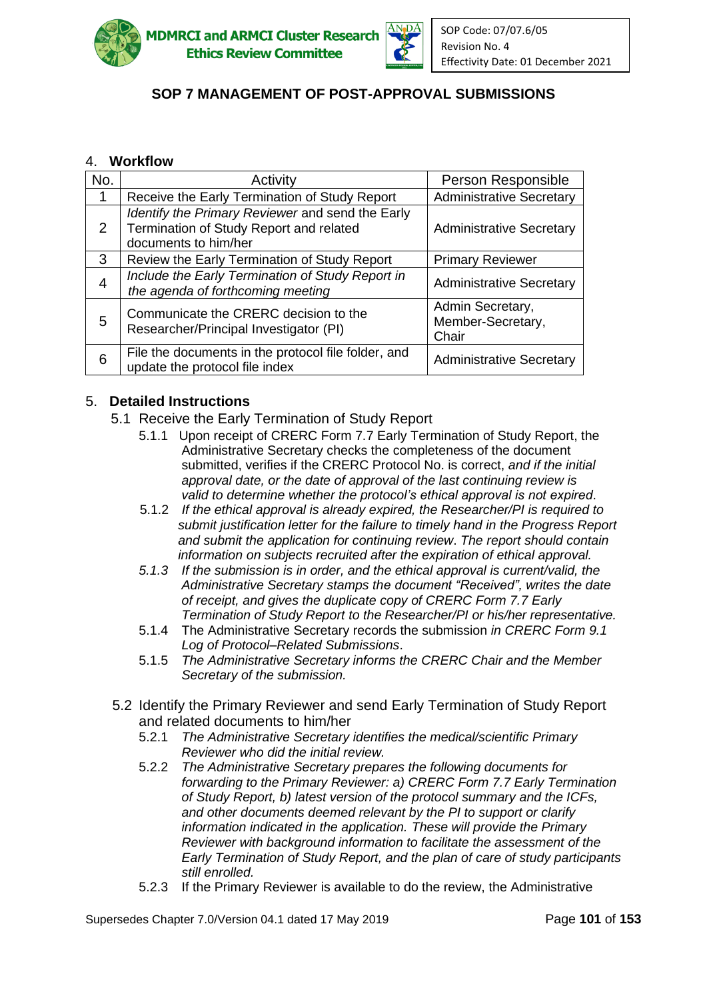



### 4. **Workflow**

| No.            | Activity                                                                                                            | Person Responsible                             |
|----------------|---------------------------------------------------------------------------------------------------------------------|------------------------------------------------|
| 1              | Receive the Early Termination of Study Report                                                                       | <b>Administrative Secretary</b>                |
| 2              | Identify the Primary Reviewer and send the Early<br>Termination of Study Report and related<br>documents to him/her | <b>Administrative Secretary</b>                |
| 3              | Review the Early Termination of Study Report                                                                        | <b>Primary Reviewer</b>                        |
| $\overline{4}$ | Include the Early Termination of Study Report in<br>the agenda of forthcoming meeting                               | <b>Administrative Secretary</b>                |
| 5              | Communicate the CRERC decision to the<br>Researcher/Principal Investigator (PI)                                     | Admin Secretary,<br>Member-Secretary,<br>Chair |
| 6              | File the documents in the protocol file folder, and<br>update the protocol file index                               | <b>Administrative Secretary</b>                |

### 5. **Detailed Instructions**

- 5.1 Receive the Early Termination of Study Report
	- 5.1.1 Upon receipt of CRERC Form 7.7 Early Termination of Study Report, the Administrative Secretary checks the completeness of the document submitted, verifies if the CRERC Protocol No. is correct, *and if the initial approval date, or the date of approval of the last continuing review is valid to determine whether the protocol's ethical approval is not expired*.
	- 5.1.2 *If the ethical approval is already expired, the Researcher/PI is required to submit justification letter for the failure to timely hand in the Progress Report and submit the application for continuing review*. *The report should contain information on subjects recruited after the expiration of ethical approval.*
	- *5.1.3 If the submission is in order, and the ethical approval is current/valid, the Administrative Secretary stamps the document "Received", writes the date of receipt, and gives the duplicate copy of CRERC Form 7.7 Early Termination of Study Report to the Researcher/PI or his/her representative.*
	- 5.1.4 The Administrative Secretary records the submission *in CRERC Form 9.1 Log of Protocol–Related Submissions*.
	- 5.1.5 *The Administrative Secretary informs the CRERC Chair and the Member Secretary of the submission.*
- 5.2 Identify the Primary Reviewer and send Early Termination of Study Report and related documents to him/her
	- 5.2.1 *The Administrative Secretary identifies the medical/scientific Primary Reviewer who did the initial review.*
	- 5.2.2 *The Administrative Secretary prepares the following documents for forwarding to the Primary Reviewer: a) CRERC Form 7.7 Early Termination of Study Report, b) latest version of the protocol summary and the ICFs, and other documents deemed relevant by the PI to support or clarify information indicated in the application. These will provide the Primary Reviewer with background information to facilitate the assessment of the Early Termination of Study Report, and the plan of care of study participants still enrolled.*
	- 5.2.3 If the Primary Reviewer is available to do the review, the Administrative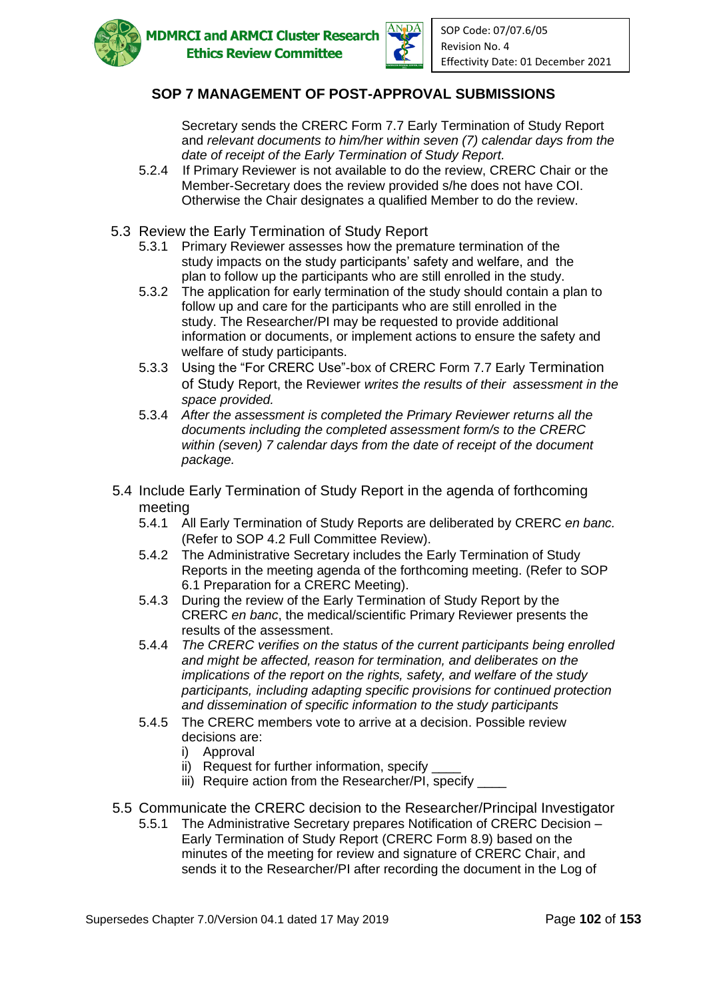

Secretary sends the CRERC Form 7.7 Early Termination of Study Report and *relevant documents to him/her within seven (7) calendar days from the date of receipt of the Early Termination of Study Report.*

- 5.2.4 If Primary Reviewer is not available to do the review, CRERC Chair or the Member-Secretary does the review provided s/he does not have COI. Otherwise the Chair designates a qualified Member to do the review.
- 5.3 Review the Early Termination of Study Report
	- 5.3.1 Primary Reviewer assesses how the premature termination of the study impacts on the study participants' safety and welfare, and the plan to follow up the participants who are still enrolled in the study.
	- 5.3.2 The application for early termination of the study should contain a plan to follow up and care for the participants who are still enrolled in the study. The Researcher/PI may be requested to provide additional information or documents, or implement actions to ensure the safety and welfare of study participants.
	- 5.3.3 Using the "For CRERC Use"-box of CRERC Form 7.7 Early Termination of Study Report, the Reviewer *writes the results of their assessment in the space provided.*
	- 5.3.4 *After the assessment is completed the Primary Reviewer returns all the documents including the completed assessment form/s to the CRERC within (seven) 7 calendar days from the date of receipt of the document package.*
- 5.4 Include Early Termination of Study Report in the agenda of forthcoming meeting
	- 5.4.1 All Early Termination of Study Reports are deliberated by CRERC *en banc.*  (Refer to SOP 4.2 Full Committee Review).
	- 5.4.2 The Administrative Secretary includes the Early Termination of Study Reports in the meeting agenda of the forthcoming meeting. (Refer to SOP 6.1 Preparation for a CRERC Meeting).
	- 5.4.3 During the review of the Early Termination of Study Report by the CRERC *en banc*, the medical/scientific Primary Reviewer presents the results of the assessment.
	- 5.4.4 *The CRERC verifies on the status of the current participants being enrolled and might be affected, reason for termination, and deliberates on the implications of the report on the rights, safety, and welfare of the study participants, including adapting specific provisions for continued protection and dissemination of specific information to the study participants*
	- 5.4.5 The CRERC members vote to arrive at a decision. Possible review decisions are:
		- i) Approval
		- ii) Request for further information, specify
		- iii) Require action from the Researcher/PI, specify \_\_\_\_
- 5.5 Communicate the CRERC decision to the Researcher/Principal Investigator
	- 5.5.1 The Administrative Secretary prepares Notification of CRERC Decision Early Termination of Study Report (CRERC Form 8.9) based on the minutes of the meeting for review and signature of CRERC Chair, and sends it to the Researcher/PI after recording the document in the Log of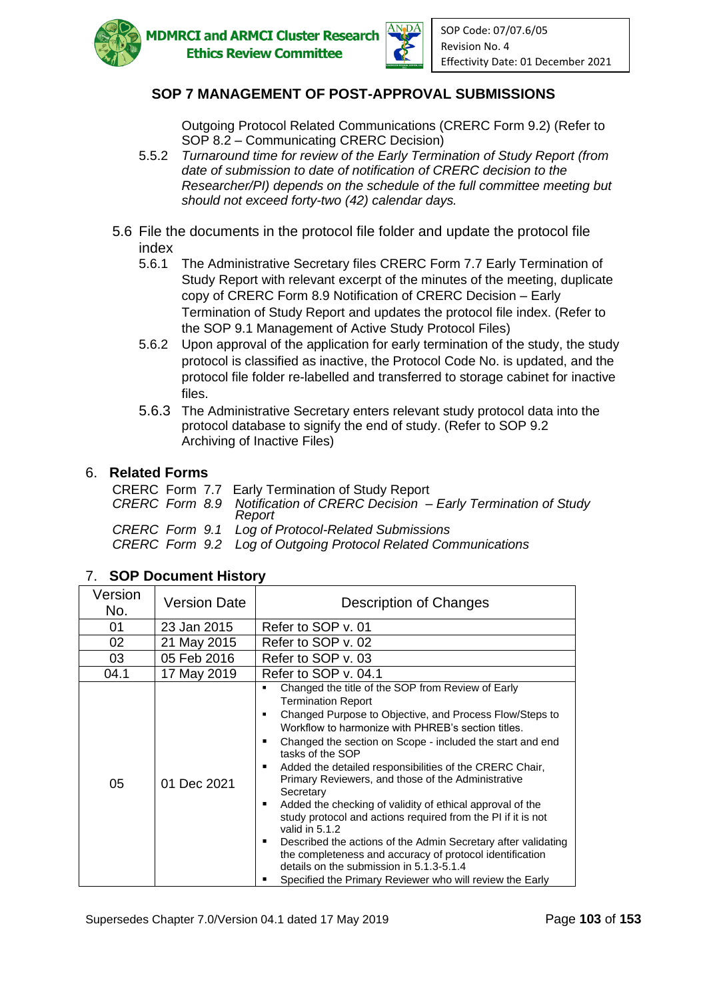



Outgoing Protocol Related Communications (CRERC Form 9.2) (Refer to SOP 8.2 – Communicating CRERC Decision)

- 5.5.2 *Turnaround time for review of the Early Termination of Study Report (from date of submission to date of notification of CRERC decision to the Researcher/PI) depends on the schedule of the full committee meeting but should not exceed forty-two (42) calendar days.*
- 5.6 File the documents in the protocol file folder and update the protocol file index
	- 5.6.1 The Administrative Secretary files CRERC Form 7.7 Early Termination of Study Report with relevant excerpt of the minutes of the meeting, duplicate copy of CRERC Form 8.9 Notification of CRERC Decision – Early Termination of Study Report and updates the protocol file index. (Refer to the SOP 9.1 Management of Active Study Protocol Files)
	- 5.6.2 Upon approval of the application for early termination of the study, the study protocol is classified as inactive, the Protocol Code No. is updated, and the protocol file folder re-labelled and transferred to storage cabinet for inactive files.
	- 5.6.3 The Administrative Secretary enters relevant study protocol data into the protocol database to signify the end of study. (Refer to SOP 9.2 Archiving of Inactive Files)

#### 6. **Related Forms**

| CRERC Form 7.7 Early Termination of Study Report                                     |
|--------------------------------------------------------------------------------------|
| CRERC Form 8.9 Notification of CRERC Decision – Early Termination of Study<br>Report |
| CRERC Form 9.1 Log of Protocol-Related Submissions                                   |
| CRERC Form 9.2 Log of Outgoing Protocol Related Communications                       |

### 7. **SOP Document History**

| Version<br>No. | <b>Version Date</b> | Description of Changes                                                                                                                                                                                                                                                                                                                                                                                                                                                                                                                                                                                                                                                                                                                                                                                            |
|----------------|---------------------|-------------------------------------------------------------------------------------------------------------------------------------------------------------------------------------------------------------------------------------------------------------------------------------------------------------------------------------------------------------------------------------------------------------------------------------------------------------------------------------------------------------------------------------------------------------------------------------------------------------------------------------------------------------------------------------------------------------------------------------------------------------------------------------------------------------------|
| 01             | 23 Jan 2015         | Refer to SOP v. 01                                                                                                                                                                                                                                                                                                                                                                                                                                                                                                                                                                                                                                                                                                                                                                                                |
| 02             | 21 May 2015         | Refer to SOP v. 02                                                                                                                                                                                                                                                                                                                                                                                                                                                                                                                                                                                                                                                                                                                                                                                                |
| 03             | 05 Feb 2016         | Refer to SOP v. 03                                                                                                                                                                                                                                                                                                                                                                                                                                                                                                                                                                                                                                                                                                                                                                                                |
| 04.1           | 17 May 2019         | Refer to SOP v. 04.1                                                                                                                                                                                                                                                                                                                                                                                                                                                                                                                                                                                                                                                                                                                                                                                              |
| 05             | 01 Dec 2021         | Changed the title of the SOP from Review of Early<br><b>Termination Report</b><br>Changed Purpose to Objective, and Process Flow/Steps to<br>٠<br>Workflow to harmonize with PHREB's section titles.<br>Changed the section on Scope - included the start and end<br>٠<br>tasks of the SOP<br>Added the detailed responsibilities of the CRERC Chair,<br>Primary Reviewers, and those of the Administrative<br>Secretary<br>Added the checking of validity of ethical approval of the<br>study protocol and actions required from the PI if it is not<br>valid in 5.1.2<br>Described the actions of the Admin Secretary after validating<br>٠<br>the completeness and accuracy of protocol identification<br>details on the submission in 5.1.3-5.1.4<br>Specified the Primary Reviewer who will review the Early |